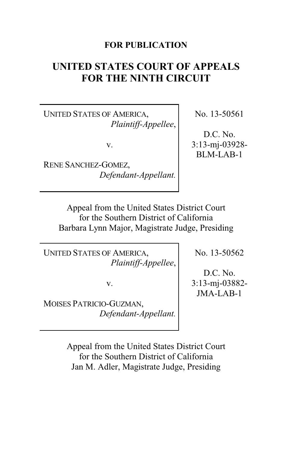# **FOR PUBLICATION**

# **UNITED STATES COURT OF APPEALS FOR THE NINTH CIRCUIT**

UNITED STATES OF AMERICA, *Plaintiff-Appellee*,

v.

RENE SANCHEZ-GOMEZ, *Defendant-Appellant.* No. 13-50561

D.C. No. 3:13-mj-03928- BLM-LAB-1

Appeal from the United States District Court for the Southern District of California Barbara Lynn Major, Magistrate Judge, Presiding

UNITED STATES OF AMERICA, *Plaintiff-Appellee*,

v.

MOISES PATRICIO-GUZMAN, *Defendant-Appellant.* No. 13-50562

D.C. No. 3:13-mj-03882- JMA-LAB-1

Appeal from the United States District Court for the Southern District of California Jan M. Adler, Magistrate Judge, Presiding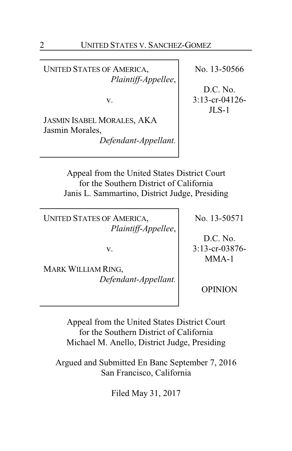UNITED STATES OF AMERICA, *Plaintiff-Appellee*,

v.

JASMIN ISABEL MORALES, AKA Jasmin Morales,

*Defendant-Appellant.*

No. 13-50566

D.C. No. 3:13-cr-04126-  $JLS-1$ 

Appeal from the United States District Court for the Southern District of California Janis L. Sammartino, District Judge, Presiding

UNITED STATES OF AMERICA, *Plaintiff-Appellee*,

v.

MARK WILLIAM RING, *Defendant-Appellant.* No. 13-50571

D.C. No. 3:13-cr-03876- MMA-1

OPINION

Appeal from the United States District Court for the Southern District of California Michael M. Anello, District Judge, Presiding

Argued and Submitted En Banc September 7, 2016 San Francisco, California

Filed May 31, 2017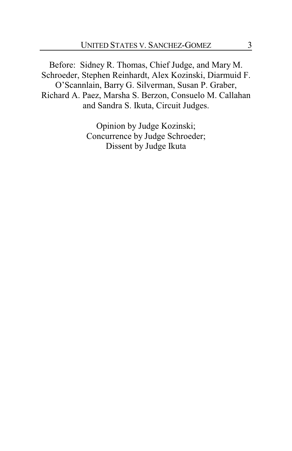Before: Sidney R. Thomas, Chief Judge, and Mary M. Schroeder, Stephen Reinhardt, Alex Kozinski, Diarmuid F. O'Scannlain, Barry G. Silverman, Susan P. Graber, Richard A. Paez, Marsha S. Berzon, Consuelo M. Callahan and Sandra S. Ikuta, Circuit Judges.

> Opinion by Judge Kozinski; Concurrence by Judge Schroeder; Dissent by Judge Ikuta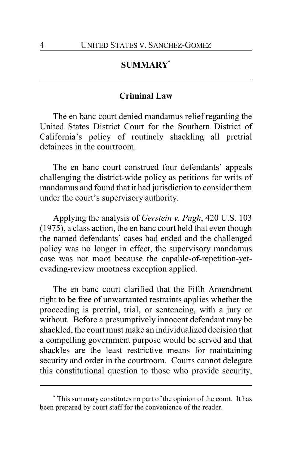# **SUMMARY\***

### **Criminal Law**

The en banc court denied mandamus relief regarding the United States District Court for the Southern District of California's policy of routinely shackling all pretrial detainees in the courtroom.

The en banc court construed four defendants' appeals challenging the district-wide policy as petitions for writs of mandamus and found that it had jurisdiction to consider them under the court's supervisory authority.

Applying the analysis of *Gerstein v. Pugh*, 420 U.S. 103 (1975), a class action, the en banc court held that even though the named defendants' cases had ended and the challenged policy was no longer in effect, the supervisory mandamus case was not moot because the capable-of-repetition-yetevading-review mootness exception applied.

The en banc court clarified that the Fifth Amendment right to be free of unwarranted restraints applies whether the proceeding is pretrial, trial, or sentencing, with a jury or without. Before a presumptively innocent defendant may be shackled, the court must make an individualized decision that a compelling government purpose would be served and that shackles are the least restrictive means for maintaining security and order in the courtroom. Courts cannot delegate this constitutional question to those who provide security,

**<sup>\*</sup>** This summary constitutes no part of the opinion of the court. It has been prepared by court staff for the convenience of the reader.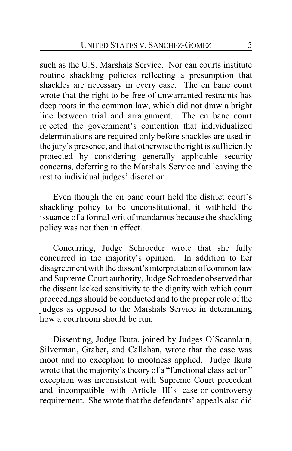such as the U.S. Marshals Service. Nor can courts institute routine shackling policies reflecting a presumption that shackles are necessary in every case. The en banc court wrote that the right to be free of unwarranted restraints has deep roots in the common law, which did not draw a bright line between trial and arraignment. The en banc court rejected the government's contention that individualized determinations are required only before shackles are used in the jury's presence, and that otherwise the right is sufficiently protected by considering generally applicable security concerns, deferring to the Marshals Service and leaving the rest to individual judges' discretion.

Even though the en banc court held the district court's shackling policy to be unconstitutional, it withheld the issuance of a formal writ of mandamus because the shackling policy was not then in effect.

Concurring, Judge Schroeder wrote that she fully concurred in the majority's opinion. In addition to her disagreement with the dissent's interpretation of common law and Supreme Court authority, Judge Schroeder observed that the dissent lacked sensitivity to the dignity with which court proceedings should be conducted and to the proper role of the judges as opposed to the Marshals Service in determining how a courtroom should be run.

Dissenting, Judge Ikuta, joined by Judges O'Scannlain, Silverman, Graber, and Callahan, wrote that the case was moot and no exception to mootness applied. Judge Ikuta wrote that the majority's theory of a "functional class action" exception was inconsistent with Supreme Court precedent and incompatible with Article III's case-or-controversy requirement. She wrote that the defendants' appeals also did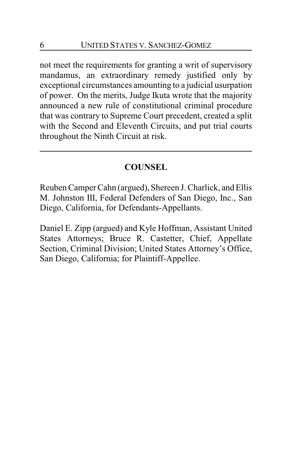not meet the requirements for granting a writ of supervisory mandamus, an extraordinary remedy justified only by exceptional circumstances amounting to a judicial usurpation of power. On the merits, Judge Ikuta wrote that the majority announced a new rule of constitutional criminal procedure that was contrary to Supreme Court precedent, created a split with the Second and Eleventh Circuits, and put trial courts throughout the Ninth Circuit at risk.

# **COUNSEL**

Reuben Camper Cahn (argued), Shereen J. Charlick, and Ellis M. Johnston III, Federal Defenders of San Diego, Inc., San Diego, California, for Defendants-Appellants.

Daniel E. Zipp (argued) and Kyle Hoffman, Assistant United States Attorneys; Bruce R. Castetter, Chief, Appellate Section, Criminal Division; United States Attorney's Office, San Diego, California; for Plaintiff-Appellee.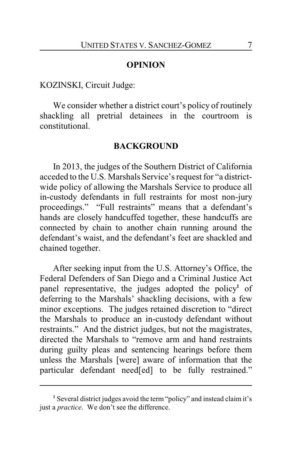### **OPINION**

### KOZINSKI, Circuit Judge:

We consider whether a district court's policy of routinely shackling all pretrial detainees in the courtroom is constitutional.

#### **BACKGROUND**

In 2013, the judges of the Southern District of California acceded to the U.S. Marshals Service's request for "a districtwide policy of allowing the Marshals Service to produce all in-custody defendants in full restraints for most non-jury proceedings." "Full restraints" means that a defendant's hands are closely handcuffed together, these handcuffs are connected by chain to another chain running around the defendant's waist, and the defendant's feet are shackled and chained together.

After seeking input from the U.S. Attorney's Office, the Federal Defenders of San Diego and a Criminal Justice Act panel representative, the judges adopted the policy<sup>1</sup> of deferring to the Marshals' shackling decisions, with a few minor exceptions. The judges retained discretion to "direct the Marshals to produce an in-custody defendant without restraints." And the district judges, but not the magistrates, directed the Marshals to "remove arm and hand restraints during guilty pleas and sentencing hearings before them unless the Marshals [were] aware of information that the particular defendant need[ed] to be fully restrained."

**<sup>1</sup>** Several district judges avoid the term "policy" and instead claim it's just a *practice*. We don't see the difference.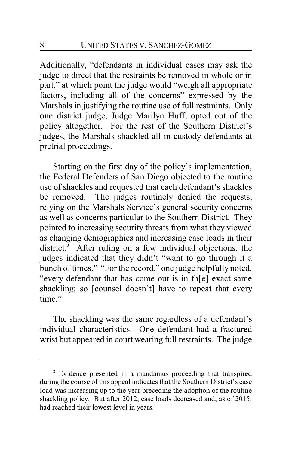Additionally, "defendants in individual cases may ask the judge to direct that the restraints be removed in whole or in part," at which point the judge would "weigh all appropriate factors, including all of the concerns" expressed by the Marshals in justifying the routine use of full restraints. Only one district judge, Judge Marilyn Huff, opted out of the policy altogether. For the rest of the Southern District's judges, the Marshals shackled all in-custody defendants at pretrial proceedings.

Starting on the first day of the policy's implementation, the Federal Defenders of San Diego objected to the routine use of shackles and requested that each defendant's shackles be removed. The judges routinely denied the requests, relying on the Marshals Service's general security concerns as well as concerns particular to the Southern District. They pointed to increasing security threats from what they viewed as changing demographics and increasing case loads in their district.<sup>2</sup> After ruling on a few individual objections, the judges indicated that they didn't "want to go through it a bunch of times." "For the record," one judge helpfully noted, "every defendant that has come out is in th[e] exact same shackling; so [counsel doesn't] have to repeat that every time"

The shackling was the same regardless of a defendant's individual characteristics. One defendant had a fractured wrist but appeared in court wearing full restraints. The judge

**<sup>2</sup>** Evidence presented in a mandamus proceeding that transpired during the course of this appeal indicates that the Southern District's case load was increasing up to the year preceding the adoption of the routine shackling policy. But after 2012, case loads decreased and, as of 2015, had reached their lowest level in years.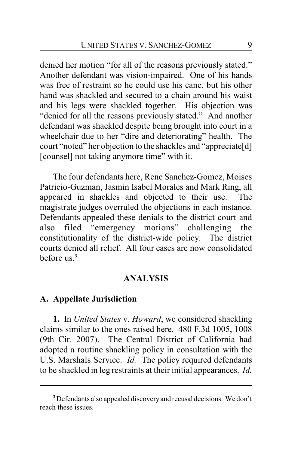denied her motion "for all of the reasons previously stated." Another defendant was vision-impaired. One of his hands was free of restraint so he could use his cane, but his other hand was shackled and secured to a chain around his waist and his legs were shackled together. His objection was "denied for all the reasons previously stated." And another defendant was shackled despite being brought into court in a wheelchair due to her "dire and deteriorating" health. The court "noted" her objection to the shackles and "appreciate[d] [counsel] not taking anymore time" with it.

The four defendants here, Rene Sanchez-Gomez, Moises Patricio-Guzman, Jasmin Isabel Morales and Mark Ring, all appeared in shackles and objected to their use. The magistrate judges overruled the objections in each instance. Defendants appealed these denials to the district court and also filed "emergency motions" challenging the constitutionality of the district-wide policy. The district courts denied all relief. All four cases are now consolidated before us.**<sup>3</sup>**

### **ANALYSIS**

## **A. Appellate Jurisdiction**

**1.** In *United States* v. *Howard*, we considered shackling claims similar to the ones raised here. 480 F.3d 1005, 1008 (9th Cir. 2007). The Central District of California had adopted a routine shackling policy in consultation with the U.S. Marshals Service. *Id.* The policy required defendants to be shackled in leg restraints at their initial appearances. *Id.*

**<sup>3</sup>** Defendants also appealed discovery and recusal decisions. We don't reach these issues.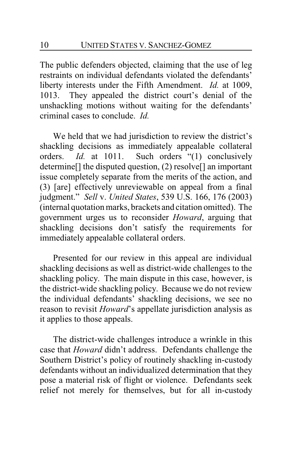The public defenders objected, claiming that the use of leg restraints on individual defendants violated the defendants' liberty interests under the Fifth Amendment. *Id.* at 1009, 1013. They appealed the district court's denial of the unshackling motions without waiting for the defendants' criminal cases to conclude. *Id.*

We held that we had jurisdiction to review the district's shackling decisions as immediately appealable collateral orders. *Id.* at 1011. Such orders "(1) conclusively determine[] the disputed question, (2) resolve[] an important issue completely separate from the merits of the action, and (3) [are] effectively unreviewable on appeal from a final judgment." *Sell* v. *United States*, 539 U.S. 166, 176 (2003) (internal quotation marks, brackets and citation omitted). The government urges us to reconsider *Howard*, arguing that shackling decisions don't satisfy the requirements for immediately appealable collateral orders.

Presented for our review in this appeal are individual shackling decisions as well as district-wide challenges to the shackling policy. The main dispute in this case, however, is the district-wide shackling policy. Because we do not review the individual defendants' shackling decisions, we see no reason to revisit *Howard*'s appellate jurisdiction analysis as it applies to those appeals.

The district-wide challenges introduce a wrinkle in this case that *Howard* didn't address. Defendants challenge the Southern District's policy of routinely shackling in-custody defendants without an individualized determination that they pose a material risk of flight or violence. Defendants seek relief not merely for themselves, but for all in-custody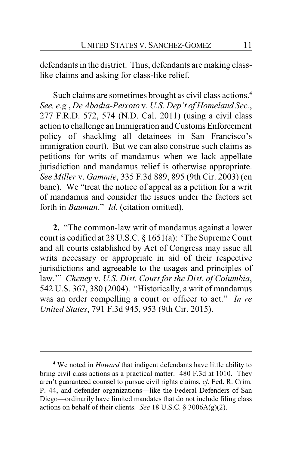defendants in the district. Thus, defendants are making classlike claims and asking for class-like relief.

Such claims are sometimes brought as civil class actions.**<sup>4</sup>** *See, e.g.*, *De Abadia-Peixoto* v. *U.S. Dep't of Homeland Sec.*, 277 F.R.D. 572, 574 (N.D. Cal. 2011) (using a civil class action to challenge an Immigration and Customs Enforcement policy of shackling all detainees in San Francisco's immigration court). But we can also construe such claims as petitions for writs of mandamus when we lack appellate jurisdiction and mandamus relief is otherwise appropriate. *See Miller* v. *Gammie*, 335 F.3d 889, 895 (9th Cir. 2003) (en banc). We "treat the notice of appeal as a petition for a writ of mandamus and consider the issues under the factors set forth in *Bauman*." *Id.* (citation omitted).

**2.** "The common-law writ of mandamus against a lower court is codified at 28 U.S.C. § 1651(a): 'The Supreme Court and all courts established by Act of Congress may issue all writs necessary or appropriate in aid of their respective jurisdictions and agreeable to the usages and principles of law.'" *Cheney* v. *U.S. Dist. Court for the Dist. of Columbia*, 542 U.S. 367, 380 (2004). "Historically, a writ of mandamus was an order compelling a court or officer to act." *In re United States*, 791 F.3d 945, 953 (9th Cir. 2015).

**<sup>4</sup>** We noted in *Howard* that indigent defendants have little ability to bring civil class actions as a practical matter. 480 F.3d at 1010. They aren't guaranteed counsel to pursue civil rights claims, *cf.* Fed. R. Crim. P. 44, and defender organizations—like the Federal Defenders of San Diego—ordinarily have limited mandates that do not include filing class actions on behalf of their clients. *See* 18 U.S.C. § 3006A(g)(2).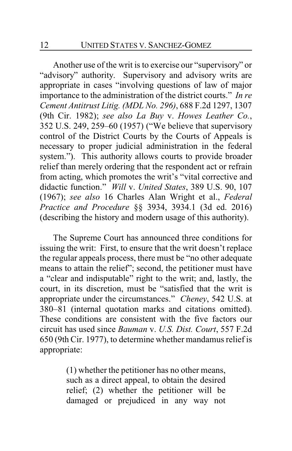Another use of the writ is to exercise our "supervisory" or "advisory" authority. Supervisory and advisory writs are appropriate in cases "involving questions of law of major importance to the administration of the district courts." *In re Cement Antitrust Litig. (MDL No. 296)*, 688 F.2d 1297, 1307 (9th Cir. 1982); *see also La Buy* v. *Howes Leather Co.*, 352 U.S. 249, 259–60 (1957) ("We believe that supervisory control of the District Courts by the Courts of Appeals is necessary to proper judicial administration in the federal system."). This authority allows courts to provide broader relief than merely ordering that the respondent act or refrain from acting, which promotes the writ's "vital corrective and didactic function." *Will* v. *United States*, 389 U.S. 90, 107 (1967); *see also* 16 Charles Alan Wright et al., *Federal Practice and Procedure* §§ 3934, 3934.1 (3d ed. 2016) (describing the history and modern usage of this authority).

The Supreme Court has announced three conditions for issuing the writ: First, to ensure that the writ doesn't replace the regular appeals process, there must be "no other adequate means to attain the relief"; second, the petitioner must have a "clear and indisputable" right to the writ; and, lastly, the court, in its discretion, must be "satisfied that the writ is appropriate under the circumstances." *Cheney*, 542 U.S. at 380–81 (internal quotation marks and citations omitted). These conditions are consistent with the five factors our circuit has used since *Bauman* v. *U.S. Dist. Court*, 557 F.2d 650 (9th Cir. 1977), to determine whether mandamus relief is appropriate:

> (1) whether the petitioner has no other means, such as a direct appeal, to obtain the desired relief; (2) whether the petitioner will be damaged or prejudiced in any way not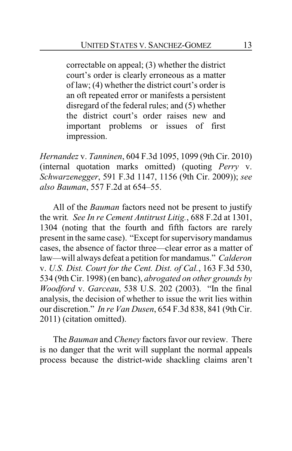correctable on appeal; (3) whether the district court's order is clearly erroneous as a matter of law; (4) whether the district court's order is an oft repeated error or manifests a persistent disregard of the federal rules; and (5) whether the district court's order raises new and important problems or issues of first impression.

*Hernandez* v. *Tanninen*, 604 F.3d 1095, 1099 (9th Cir. 2010) (internal quotation marks omitted) (quoting *Perry* v. *Schwarzenegger*, 591 F.3d 1147, 1156 (9th Cir. 2009)); *see also Bauman*, 557 F.2d at 654–55.

All of the *Bauman* factors need not be present to justify the writ*. See In re Cement Antitrust Litig.*, 688 F.2d at 1301, 1304 (noting that the fourth and fifth factors are rarely present in the same case). "Except for supervisorymandamus cases, the absence of factor three—clear error as a matter of law—will always defeat a petition for mandamus." *Calderon* v. *U.S. Dist. Court for the Cent. Dist. of Cal.*, 163 F.3d 530, 534 (9th Cir. 1998) (en banc), *abrogated on other grounds by Woodford* v. *Garceau*, 538 U.S. 202 (2003). "In the final analysis, the decision of whether to issue the writ lies within our discretion." *In re Van Dusen*, 654 F.3d 838, 841 (9th Cir. 2011) (citation omitted).

The *Bauman* and *Cheney* factors favor our review. There is no danger that the writ will supplant the normal appeals process because the district-wide shackling claims aren't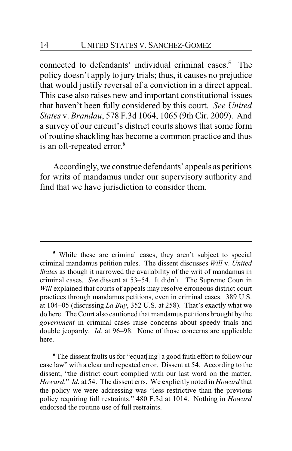connected to defendants' individual criminal cases.**<sup>5</sup>** The policy doesn't apply to jury trials; thus, it causes no prejudice that would justify reversal of a conviction in a direct appeal. This case also raises new and important constitutional issues that haven't been fully considered by this court. *See United States* v. *Brandau*, 578 F.3d 1064, 1065 (9th Cir. 2009). And a survey of our circuit's district courts shows that some form of routine shackling has become a common practice and thus is an oft-repeated error.**<sup>6</sup>**

Accordingly, we construe defendants' appeals as petitions for writs of mandamus under our supervisory authority and find that we have jurisdiction to consider them.

**<sup>6</sup>** The dissent faults us for "equat[ing] a good faith effort to follow our case law" with a clear and repeated error. Dissent at 54. According to the dissent, "the district court complied with our last word on the matter, *Howard*." *Id.* at 54. The dissent errs. We explicitly noted in *Howard* that the policy we were addressing was "less restrictive than the previous policy requiring full restraints." 480 F.3d at 1014. Nothing in *Howard* endorsed the routine use of full restraints.

**<sup>5</sup>** While these are criminal cases, they aren't subject to special criminal mandamus petition rules. The dissent discusses *Will* v. *United States* as though it narrowed the availability of the writ of mandamus in criminal cases. *See* dissent at 53–54. It didn't. The Supreme Court in *Will* explained that courts of appeals may resolve erroneous district court practices through mandamus petitions, even in criminal cases. 389 U.S. at 104–05 (discussing *La Buy*, 352 U.S. at 258). That's exactly what we do here. The Court also cautioned that mandamus petitions brought by the *government* in criminal cases raise concerns about speedy trials and double jeopardy. *Id.* at 96–98. None of those concerns are applicable here.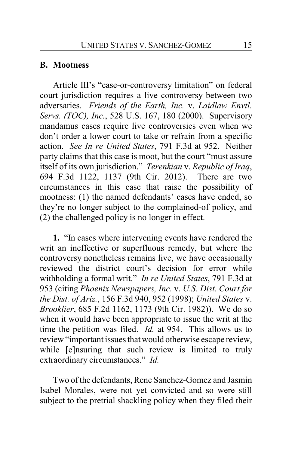### **B. Mootness**

Article III's "case-or-controversy limitation" on federal court jurisdiction requires a live controversy between two adversaries. *Friends of the Earth, Inc.* v. *Laidlaw Envtl. Servs. (TOC), Inc.*, 528 U.S. 167, 180 (2000). Supervisory mandamus cases require live controversies even when we don't order a lower court to take or refrain from a specific action. *See In re United States*, 791 F.3d at 952. Neither party claims that this case is moot, but the court "must assure itself of its own jurisdiction." *Terenkian* v. *Republic of Iraq*, 694 F.3d 1122, 1137 (9th Cir. 2012). There are two circumstances in this case that raise the possibility of mootness: (1) the named defendants' cases have ended, so they're no longer subject to the complained-of policy, and (2) the challenged policy is no longer in effect.

**1.** "In cases where intervening events have rendered the writ an ineffective or superfluous remedy, but where the controversy nonetheless remains live, we have occasionally reviewed the district court's decision for error while withholding a formal writ." *In re United States*, 791 F.3d at 953 (citing *Phoenix Newspapers, Inc.* v. *U.S. Dist. Court for the Dist. of Ariz.*, 156 F.3d 940, 952 (1998); *United States* v. *Brooklier*, 685 F.2d 1162, 1173 (9th Cir. 1982)). We do so when it would have been appropriate to issue the writ at the time the petition was filed. *Id.* at 954. This allows us to review "important issues that would otherwise escape review, while [e]nsuring that such review is limited to truly extraordinary circumstances." *Id.*

Two of the defendants, Rene Sanchez-Gomez and Jasmin Isabel Morales, were not yet convicted and so were still subject to the pretrial shackling policy when they filed their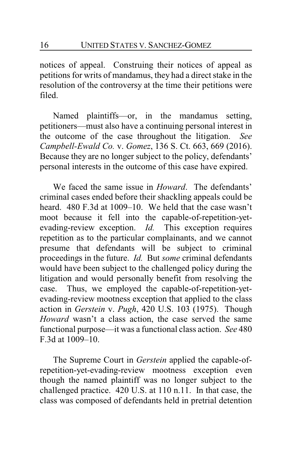notices of appeal. Construing their notices of appeal as petitions for writs of mandamus, they had a direct stake in the resolution of the controversy at the time their petitions were filed.

Named plaintiffs—or, in the mandamus setting, petitioners—must also have a continuing personal interest in the outcome of the case throughout the litigation. *See Campbell-Ewald Co.* v. *Gomez*, 136 S. Ct. 663, 669 (2016). Because they are no longer subject to the policy, defendants' personal interests in the outcome of this case have expired.

We faced the same issue in *Howard*. The defendants' criminal cases ended before their shackling appeals could be heard. 480 F.3d at 1009–10. We held that the case wasn't moot because it fell into the capable-of-repetition-yetevading-review exception. *Id.* This exception requires repetition as to the particular complainants, and we cannot presume that defendants will be subject to criminal proceedings in the future. *Id.* But *some* criminal defendants would have been subject to the challenged policy during the litigation and would personally benefit from resolving the case. Thus, we employed the capable-of-repetition-yetevading-review mootness exception that applied to the class action in *Gerstein* v. *Pugh*, 420 U.S. 103 (1975). Though *Howard* wasn't a class action, the case served the same functional purpose—it was a functional class action. *See* 480 F.3d at 1009–10.

The Supreme Court in *Gerstein* applied the capable-ofrepetition-yet-evading-review mootness exception even though the named plaintiff was no longer subject to the challenged practice. 420 U.S. at 110 n.11. In that case, the class was composed of defendants held in pretrial detention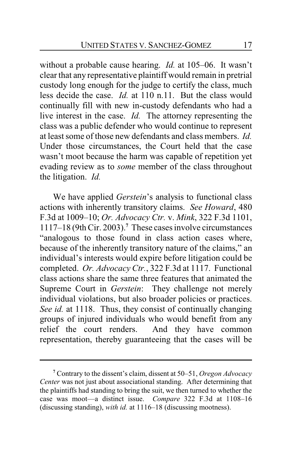without a probable cause hearing. *Id.* at 105–06. It wasn't clear that any representative plaintiff would remain in pretrial custody long enough for the judge to certify the class, much less decide the case. *Id.* at 110 n.11. But the class would continually fill with new in-custody defendants who had a live interest in the case. *Id.* The attorney representing the class was a public defender who would continue to represent at least some of those new defendants and class members. *Id.* Under those circumstances, the Court held that the case wasn't moot because the harm was capable of repetition yet evading review as to *some* member of the class throughout the litigation. *Id.*

We have applied *Gerstein*'s analysis to functional class actions with inherently transitory claims. *See Howard*, 480 F.3d at 1009–10; *Or. Advocacy Ctr.* v. *Mink*, 322 F.3d 1101, 1117–18 (9th Cir. 2003).**<sup>7</sup>** These cases involve circumstances "analogous to those found in class action cases where, because of the inherently transitory nature of the claims," an individual's interests would expire before litigation could be completed. *Or. Advocacy Ctr.*, 322 F.3d at 1117. Functional class actions share the same three features that animated the Supreme Court in *Gerstein*: They challenge not merely individual violations, but also broader policies or practices. *See id.* at 1118. Thus, they consist of continually changing groups of injured individuals who would benefit from any relief the court renders. And they have common representation, thereby guaranteeing that the cases will be

**<sup>7</sup>** Contrary to the dissent's claim, dissent at 50–51, *Oregon Advocacy Center* was not just about associational standing. After determining that the plaintiffs had standing to bring the suit, we then turned to whether the case was moot—a distinct issue. *Compare* 322 F.3d at 1108–16 (discussing standing), *with id.* at 1116–18 (discussing mootness).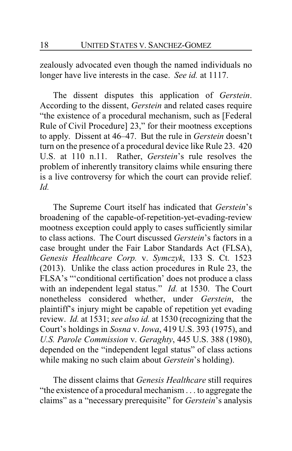zealously advocated even though the named individuals no longer have live interests in the case. *See id.* at 1117.

The dissent disputes this application of *Gerstein*. According to the dissent, *Gerstein* and related cases require "the existence of a procedural mechanism, such as [Federal Rule of Civil Procedure] 23," for their mootness exceptions to apply. Dissent at 46–47. But the rule in *Gerstein* doesn't turn on the presence of a procedural device like Rule 23. 420 U.S. at 110 n.11. Rather, *Gerstein*'s rule resolves the problem of inherently transitory claims while ensuring there is a live controversy for which the court can provide relief. *Id.*

The Supreme Court itself has indicated that *Gerstein*'s broadening of the capable-of-repetition-yet-evading-review mootness exception could apply to cases sufficiently similar to class actions. The Court discussed *Gerstein*'s factors in a case brought under the Fair Labor Standards Act (FLSA), *Genesis Healthcare Corp.* v. *Symczyk*, 133 S. Ct. 1523 (2013). Unlike the class action procedures in Rule 23, the FLSA's "'conditional certification' does not produce a class with an independent legal status." *Id.* at 1530. The Court nonetheless considered whether, under *Gerstein*, the plaintiff's injury might be capable of repetition yet evading review. *Id.* at 1531; *see also id.* at 1530 (recognizing that the Court's holdings in *Sosna* v. *Iowa*, 419 U.S. 393 (1975), and *U.S. Parole Commission* v. *Geraghty*, 445 U.S. 388 (1980), depended on the "independent legal status" of class actions while making no such claim about *Gerstein*'s holding).

The dissent claims that *Genesis Healthcare* still requires "the existence of a procedural mechanism . . . to aggregate the claims" as a "necessary prerequisite" for *Gerstein*'s analysis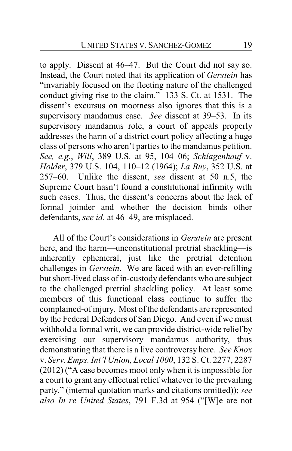to apply. Dissent at 46–47. But the Court did not say so. Instead, the Court noted that its application of *Gerstein* has "invariably focused on the fleeting nature of the challenged conduct giving rise to the claim." 133 S. Ct. at 1531. The dissent's excursus on mootness also ignores that this is a supervisory mandamus case. *See* dissent at 39–53. In its supervisory mandamus role, a court of appeals properly addresses the harm of a district court policy affecting a huge class of persons who aren't parties to the mandamus petition. *See, e.g.*, *Will*, 389 U.S. at 95, 104–06; *Schlagenhauf* v. *Holder*, 379 U.S. 104, 110–12 (1964); *La Buy*, 352 U.S. at 257–60. Unlike the dissent, *see* dissent at 50 n.5, the Supreme Court hasn't found a constitutional infirmity with such cases. Thus, the dissent's concerns about the lack of formal joinder and whether the decision binds other defendants, *see id.* at 46–49, are misplaced.

All of the Court's considerations in *Gerstein* are present here, and the harm—unconstitutional pretrial shackling—is inherently ephemeral, just like the pretrial detention challenges in *Gerstein*. We are faced with an ever-refilling but short-lived class of in-custody defendants who are subject to the challenged pretrial shackling policy. At least some members of this functional class continue to suffer the complained-of injury. Most of the defendants are represented by the Federal Defenders of San Diego. And even if we must withhold a formal writ, we can provide district-wide relief by exercising our supervisory mandamus authority, thus demonstrating that there is a live controversy here. *See Knox* v. *Serv. Emps. Int'l Union, Local 1000*, 132 S. Ct. 2277, 2287 (2012) ("A case becomes moot only when it is impossible for a court to grant any effectual relief whatever to the prevailing party." (internal quotation marks and citations omitted)); *see also In re United States*, 791 F.3d at 954 ("[W]e are not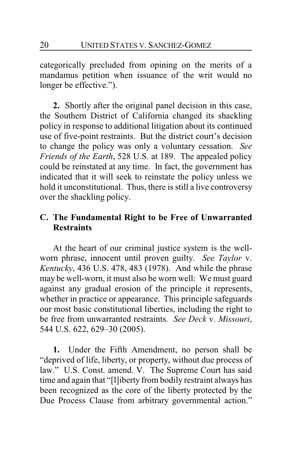categorically precluded from opining on the merits of a mandamus petition when issuance of the writ would no longer be effective.").

**2.** Shortly after the original panel decision in this case, the Southern District of California changed its shackling policy in response to additional litigation about its continued use of five-point restraints. But the district court's decision to change the policy was only a voluntary cessation. *See Friends of the Earth*, 528 U.S. at 189. The appealed policy could be reinstated at any time. In fact, the government has indicated that it will seek to reinstate the policy unless we hold it unconstitutional. Thus, there is still a live controversy over the shackling policy.

# **C. The Fundamental Right to be Free of Unwarranted Restraints**

At the heart of our criminal justice system is the wellworn phrase, innocent until proven guilty. *See Taylor* v. *Kentucky*, 436 U.S. 478, 483 (1978). And while the phrase may be well-worn, it must also be worn well: We must guard against any gradual erosion of the principle it represents, whether in practice or appearance. This principle safeguards our most basic constitutional liberties, including the right to be free from unwarranted restraints. *See Deck* v. *Missouri*, 544 U.S. 622, 629–30 (2005).

**1.** Under the Fifth Amendment, no person shall be "deprived of life, liberty, or property, without due process of law." U.S. Const. amend. V. The Supreme Court has said time and again that "[l]iberty from bodily restraint always has been recognized as the core of the liberty protected by the Due Process Clause from arbitrary governmental action."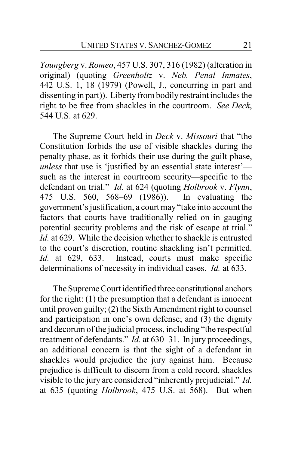*Youngberg* v. *Romeo*, 457 U.S. 307, 316 (1982) (alteration in original) (quoting *Greenholtz* v. *Neb. Penal Inmates*, 442 U.S. 1, 18 (1979) (Powell, J., concurring in part and dissenting in part)). Liberty from bodily restraint includes the right to be free from shackles in the courtroom. *See Deck*, 544 U.S. at 629.

The Supreme Court held in *Deck* v. *Missouri* that "the Constitution forbids the use of visible shackles during the penalty phase, as it forbids their use during the guilt phase, *unless* that use is 'justified by an essential state interest' such as the interest in courtroom security—specific to the defendant on trial." *Id.* at 624 (quoting *Holbrook* v. *Flynn*, 475 U.S. 560, 568–69 (1986)). In evaluating the government's justification, a court may "take into account the factors that courts have traditionally relied on in gauging potential security problems and the risk of escape at trial." *Id.* at 629. While the decision whether to shackle is entrusted to the court's discretion, routine shackling isn't permitted. *Id.* at 629, 633. Instead, courts must make specific determinations of necessity in individual cases. *Id.* at 633.

The Supreme Court identified three constitutional anchors for the right: (1) the presumption that a defendant is innocent until proven guilty; (2) the Sixth Amendment right to counsel and participation in one's own defense; and (3) the dignity and decorum of the judicial process, including "the respectful treatment of defendants." *Id.* at 630–31. In jury proceedings, an additional concern is that the sight of a defendant in shackles would prejudice the jury against him. Because prejudice is difficult to discern from a cold record, shackles visible to the jury are considered "inherently prejudicial." *Id.* at 635 (quoting *Holbrook*, 475 U.S. at 568). But when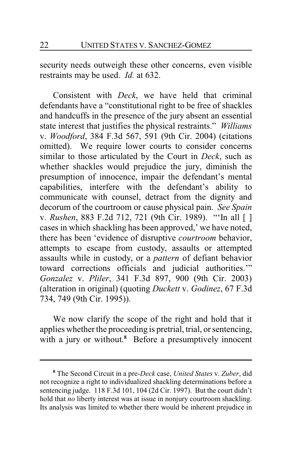security needs outweigh these other concerns, even visible restraints may be used. *Id.* at 632.

Consistent with *Deck*, we have held that criminal defendants have a "constitutional right to be free of shackles and handcuffs in the presence of the jury absent an essential state interest that justifies the physical restraints." *Williams* v. *Woodford*, 384 F.3d 567, 591 (9th Cir. 2004) (citations omitted). We require lower courts to consider concerns similar to those articulated by the Court in *Deck*, such as whether shackles would prejudice the jury, diminish the presumption of innocence, impair the defendant's mental capabilities, interfere with the defendant's ability to communicate with counsel, detract from the dignity and decorum of the courtroom or cause physical pain. *See Spain* v. *Rushen*, 883 F.2d 712, 721 (9th Cir. 1989). "'In all [ ] cases in which shackling has been approved,' we have noted, there has been 'evidence of disruptive *courtroom* behavior, attempts to escape from custody, assaults or attempted assaults while in custody, or a *pattern* of defiant behavior toward corrections officials and judicial authorities.'" *Gonzalez* v. *Pliler*, 341 F.3d 897, 900 (9th Cir. 2003) (alteration in original) (quoting *Duckett* v. *Godinez*, 67 F.3d 734, 749 (9th Cir. 1995)).

We now clarify the scope of the right and hold that it applies whether the proceeding is pretrial, trial, or sentencing, with a jury or without.<sup>8</sup> Before a presumptively innocent

**<sup>8</sup>** The Second Circuit in a pre-*Deck* case, *United States* v. *Zuber*, did not recognize a right to individualized shackling determinations before a sentencing judge. 118 F.3d 101, 104 (2d Cir. 1997). But the court didn't hold that *no* liberty interest was at issue in nonjury courtroom shackling. Its analysis was limited to whether there would be inherent prejudice in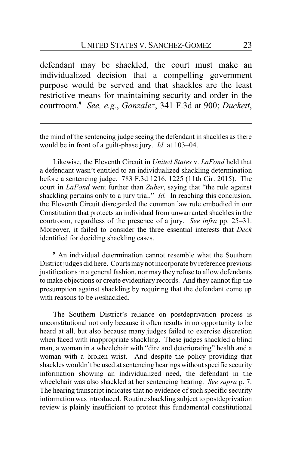defendant may be shackled, the court must make an individualized decision that a compelling government purpose would be served and that shackles are the least restrictive means for maintaining security and order in the courtroom.**<sup>9</sup>** *See, e.g.*, *Gonzalez*, 341 F.3d at 900; *Duckett*,

the mind of the sentencing judge seeing the defendant in shackles as there would be in front of a guilt-phase jury. *Id.* at 103–04.

Likewise, the Eleventh Circuit in *United States* v. *LaFond* held that a defendant wasn't entitled to an individualized shackling determination before a sentencing judge. 783 F.3d 1216, 1225 (11th Cir. 2015). The court in *LaFond* went further than *Zuber*, saying that "the rule against shackling pertains only to a jury trial." *Id.* In reaching this conclusion, the Eleventh Circuit disregarded the common law rule embodied in our Constitution that protects an individual from unwarranted shackles in the courtroom, regardless of the presence of a jury. *See infra* pp. 25–31. Moreover, it failed to consider the three essential interests that *Deck* identified for deciding shackling cases.

**<sup>9</sup>** An individual determination cannot resemble what the Southern District judges did here. Courts may notincorporate by reference previous justifications in a general fashion, nor may they refuse to allow defendants to make objections or create evidentiary records. And they cannot flip the presumption against shackling by requiring that the defendant come up with reasons to be *un*shackled.

The Southern District's reliance on postdeprivation process is unconstitutional not only because it often results in no opportunity to be heard at all, but also because many judges failed to exercise discretion when faced with inappropriate shackling. These judges shackled a blind man, a woman in a wheelchair with "dire and deteriorating" health and a woman with a broken wrist. And despite the policy providing that shackles wouldn't be used at sentencing hearings without specific security information showing an individualized need, the defendant in the wheelchair was also shackled at her sentencing hearing. *See supra* p. 7. The hearing transcript indicates that no evidence of such specific security information was introduced. Routine shackling subject to postdeprivation review is plainly insufficient to protect this fundamental constitutional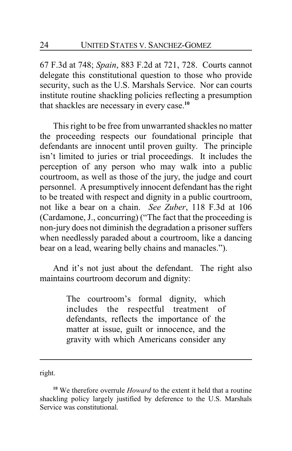67 F.3d at 748; *Spain*, 883 F.2d at 721, 728. Courts cannot delegate this constitutional question to those who provide security, such as the U.S. Marshals Service. Nor can courts institute routine shackling policies reflecting a presumption that shackles are necessary in every case.**<sup>10</sup>**

This right to be free from unwarranted shackles no matter the proceeding respects our foundational principle that defendants are innocent until proven guilty. The principle isn't limited to juries or trial proceedings. It includes the perception of any person who may walk into a public courtroom, as well as those of the jury, the judge and court personnel. A presumptively innocent defendant has the right to be treated with respect and dignity in a public courtroom, not like a bear on a chain. *See Zuber*, 118 F.3d at 106 (Cardamone, J., concurring) ("The fact that the proceeding is non-jury does not diminish the degradation a prisoner suffers when needlessly paraded about a courtroom, like a dancing bear on a lead, wearing belly chains and manacles.").

And it's not just about the defendant. The right also maintains courtroom decorum and dignity:

> The courtroom's formal dignity, which includes the respectful treatment of defendants, reflects the importance of the matter at issue, guilt or innocence, and the gravity with which Americans consider any

right.

**<sup>10</sup>** We therefore overrule *Howard* to the extent it held that a routine shackling policy largely justified by deference to the U.S. Marshals Service was constitutional.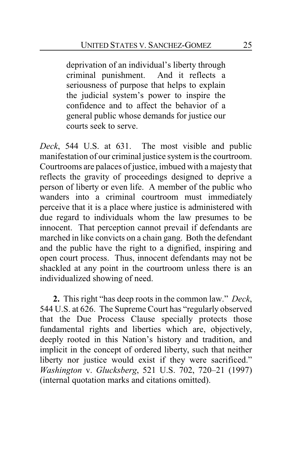deprivation of an individual's liberty through criminal punishment. And it reflects a seriousness of purpose that helps to explain the judicial system's power to inspire the confidence and to affect the behavior of a general public whose demands for justice our courts seek to serve.

*Deck*, 544 U.S. at 631. The most visible and public manifestation of our criminal justice system is the courtroom. Courtrooms are palaces of justice, imbued with a majesty that reflects the gravity of proceedings designed to deprive a person of liberty or even life. A member of the public who wanders into a criminal courtroom must immediately perceive that it is a place where justice is administered with due regard to individuals whom the law presumes to be innocent. That perception cannot prevail if defendants are marched in like convicts on a chain gang. Both the defendant and the public have the right to a dignified, inspiring and open court process. Thus, innocent defendants may not be shackled at any point in the courtroom unless there is an individualized showing of need.

**2.** This right "has deep roots in the common law." *Deck*, 544 U.S. at 626. The Supreme Court has "regularly observed that the Due Process Clause specially protects those fundamental rights and liberties which are, objectively, deeply rooted in this Nation's history and tradition, and implicit in the concept of ordered liberty, such that neither liberty nor justice would exist if they were sacrificed." *Washington* v. *Glucksberg*, 521 U.S. 702, 720–21 (1997) (internal quotation marks and citations omitted).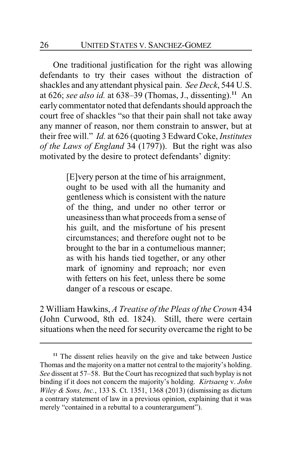One traditional justification for the right was allowing defendants to try their cases without the distraction of shackles and any attendant physical pain. *See Deck*, 544 U.S. at 626; *see also id.* at 638–39 (Thomas, J., dissenting).**<sup>11</sup>** An early commentator noted that defendants should approach the court free of shackles "so that their pain shall not take away any manner of reason, nor them constrain to answer, but at their free will." *Id.* at 626 (quoting 3 Edward Coke, *Institutes of the Laws of England* 34 (1797)). But the right was also motivated by the desire to protect defendants' dignity:

> [E]very person at the time of his arraignment, ought to be used with all the humanity and gentleness which is consistent with the nature of the thing, and under no other terror or uneasiness than what proceeds from a sense of his guilt, and the misfortune of his present circumstances; and therefore ought not to be brought to the bar in a contumelious manner; as with his hands tied together, or any other mark of ignominy and reproach; nor even with fetters on his feet, unless there be some danger of a rescous or escape.

2 William Hawkins, *A Treatise of the Pleas of the Crown* 434 (John Curwood, 8th ed. 1824). Still, there were certain situations when the need for security overcame the right to be

**<sup>11</sup>** The dissent relies heavily on the give and take between Justice Thomas and the majority on a matter not central to the majority's holding. *See* dissent at 57–58. But the Court has recognized that such byplay is not binding if it does not concern the majority's holding. *Kirtsaeng* v. *John Wiley & Sons, Inc.*, 133 S. Ct. 1351, 1368 (2013) (dismissing as dictum a contrary statement of law in a previous opinion, explaining that it was merely "contained in a rebuttal to a counterargument").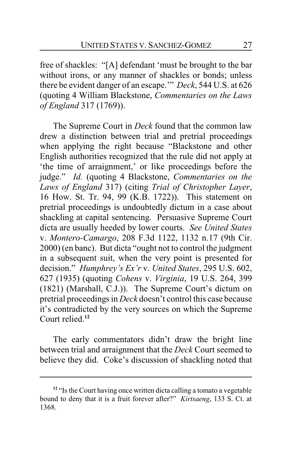free of shackles: "[A] defendant 'must be brought to the bar without irons, or any manner of shackles or bonds; unless there be evident danger of an escape.'" *Deck*, 544 U.S. at 626 (quoting 4 William Blackstone, *Commentaries on the Laws of England* 317 (1769)).

The Supreme Court in *Deck* found that the common law drew a distinction between trial and pretrial proceedings when applying the right because "Blackstone and other English authorities recognized that the rule did not apply at 'the time of arraignment,' or like proceedings before the judge." *Id.* (quoting 4 Blackstone, *Commentaries on the Laws of England* 317) (citing *Trial of Christopher Layer*, 16 How. St. Tr. 94, 99 (K.B. 1722)). This statement on pretrial proceedings is undoubtedly dictum in a case about shackling at capital sentencing. Persuasive Supreme Court dicta are usually heeded by lower courts. *See United States* v. *Montero-Camargo*, 208 F.3d 1122, 1132 n.17 (9th Cir. 2000) (en banc). But dicta "ought not to control the judgment in a subsequent suit, when the very point is presented for decision." *Humphrey's Ex'r* v. *United States*, 295 U.S. 602, 627 (1935) (quoting *Cohens* v. *Virginia*, 19 U.S. 264, 399 (1821) (Marshall, C.J.)). The Supreme Court's dictum on pretrial proceedings in *Deck* doesn't control this case because it's contradicted by the very sources on which the Supreme Court relied.**<sup>12</sup>**

The early commentators didn't draw the bright line between trial and arraignment that the *Deck* Court seemed to believe they did. Coke's discussion of shackling noted that

**<sup>12</sup>** "Is the Court having once written dicta calling a tomato a vegetable bound to deny that it is a fruit forever after?" *Kirtsaeng*, 133 S. Ct. at 1368.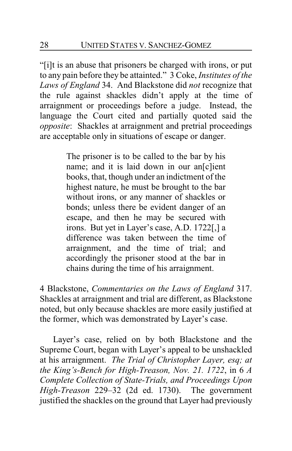"[i]t is an abuse that prisoners be charged with irons, or put to any pain before they be attainted." 3 Coke, *Institutes of the Laws of England* 34. And Blackstone did *not* recognize that the rule against shackles didn't apply at the time of arraignment or proceedings before a judge. Instead, the language the Court cited and partially quoted said the *opposite*: Shackles at arraignment and pretrial proceedings are acceptable only in situations of escape or danger.

> The prisoner is to be called to the bar by his name; and it is laid down in our an[c]ient books, that, though under an indictment of the highest nature, he must be brought to the bar without irons, or any manner of shackles or bonds; unless there be evident danger of an escape, and then he may be secured with irons. But yet in Layer's case, A.D. 1722[,] a difference was taken between the time of arraignment, and the time of trial; and accordingly the prisoner stood at the bar in chains during the time of his arraignment.

4 Blackstone, *Commentaries on the Laws of England* 317. Shackles at arraignment and trial are different, as Blackstone noted, but only because shackles are more easily justified at the former, which was demonstrated by Layer's case.

Layer's case, relied on by both Blackstone and the Supreme Court, began with Layer's appeal to be unshackled at his arraignment. *The Trial of Christopher Layer, esq; at the King's-Bench for High-Treason, Nov. 21. 1722*, in 6 *A Complete Collection of State-Trials, and Proceedings Upon High-Treason* 229–32 (2d ed. 1730). The government justified the shackles on the ground that Layer had previously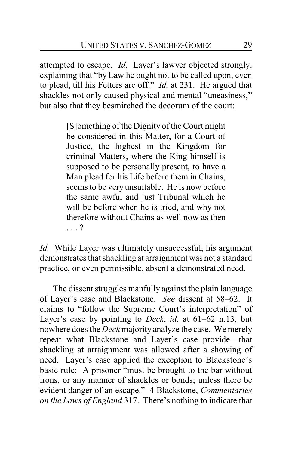attempted to escape. *Id.* Layer's lawyer objected strongly, explaining that "by Law he ought not to be called upon, even to plead, till his Fetters are off." *Id.* at 231. He argued that shackles not only caused physical and mental "uneasiness," but also that they besmirched the decorum of the court:

> [S]omething of the Dignity of the Court might be considered in this Matter, for a Court of Justice, the highest in the Kingdom for criminal Matters, where the King himself is supposed to be personally present, to have a Man plead for his Life before them in Chains, seems to be very unsuitable. He is now before the same awful and just Tribunal which he will be before when he is tried, and why not therefore without Chains as well now as then . . . ?

*Id.* While Layer was ultimately unsuccessful, his argument demonstrates that shackling at arraignment was not a standard practice, or even permissible, absent a demonstrated need.

The dissent struggles manfully against the plain language of Layer's case and Blackstone. *See* dissent at 58–62. It claims to "follow the Supreme Court's interpretation" of Layer's case by pointing to *Deck*, *id.* at 61–62 n.13, but nowhere does the *Deck* majority analyze the case. We merely repeat what Blackstone and Layer's case provide—that shackling at arraignment was allowed after a showing of need. Layer's case applied the exception to Blackstone's basic rule: A prisoner "must be brought to the bar without irons, or any manner of shackles or bonds; unless there be evident danger of an escape." 4 Blackstone, *Commentaries on the Laws of England* 317. There's nothing to indicate that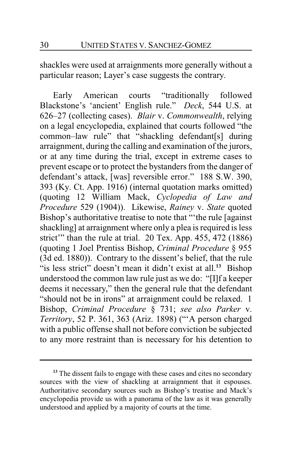shackles were used at arraignments more generally without a particular reason; Layer's case suggests the contrary.

Early American courts "traditionally followed Blackstone's 'ancient' English rule." *Deck*, 544 U.S. at 626–27 (collecting cases). *Blair* v. *Commonwealth*, relying on a legal encyclopedia, explained that courts followed "the common–law rule" that "shackling defendant[s] during arraignment, during the calling and examination of the jurors, or at any time during the trial, except in extreme cases to prevent escape or to protect the bystanders from the danger of defendant's attack, [was] reversible error." 188 S.W. 390, 393 (Ky. Ct. App. 1916) (internal quotation marks omitted) (quoting 12 William Mack, *Cyclopedia of Law and Procedure* 529 (1904)). Likewise, *Rainey* v. *State* quoted Bishop's authoritative treatise to note that "'the rule [against shackling] at arraignment where only a plea is required is less strict" than the rule at trial. 20 Tex. App. 455, 472 (1886) (quoting 1 Joel Prentiss Bishop, *Criminal Procedure* § 955 (3d ed. 1880)). Contrary to the dissent's belief, that the rule "is less strict" doesn't mean it didn't exist at all.**<sup>13</sup>** Bishop understood the common law rule just as we do: "[I]f a keeper deems it necessary," then the general rule that the defendant "should not be in irons" at arraignment could be relaxed. 1 Bishop, *Criminal Procedure* § 731; *see also Parker* v. *Territory*, 52 P. 361, 363 (Ariz. 1898) ("'A person charged with a public offense shall not before conviction be subjected to any more restraint than is necessary for his detention to

<sup>&</sup>lt;sup>13</sup> The dissent fails to engage with these cases and cites no secondary sources with the view of shackling at arraignment that it espouses. Authoritative secondary sources such as Bishop's treatise and Mack's encyclopedia provide us with a panorama of the law as it was generally understood and applied by a majority of courts at the time.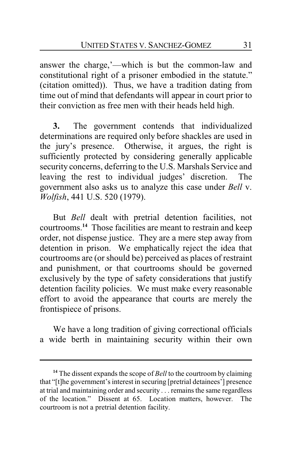answer the charge,'—which is but the common-law and constitutional right of a prisoner embodied in the statute." (citation omitted)). Thus, we have a tradition dating from time out of mind that defendants will appear in court prior to their conviction as free men with their heads held high.

**3.** The government contends that individualized determinations are required only before shackles are used in the jury's presence. Otherwise, it argues, the right is sufficiently protected by considering generally applicable security concerns, deferring to the U.S. Marshals Service and leaving the rest to individual judges' discretion. The government also asks us to analyze this case under *Bell* v. *Wolfish*, 441 U.S. 520 (1979).

But *Bell* dealt with pretrial detention facilities, not courtrooms.**<sup>14</sup>** Those facilities are meant to restrain and keep order, not dispense justice. They are a mere step away from detention in prison. We emphatically reject the idea that courtrooms are (or should be) perceived as places of restraint and punishment, or that courtrooms should be governed exclusively by the type of safety considerations that justify detention facility policies. We must make every reasonable effort to avoid the appearance that courts are merely the frontispiece of prisons.

We have a long tradition of giving correctional officials a wide berth in maintaining security within their own

**<sup>14</sup>** The dissent expands the scope of *Bell* to the courtroom by claiming that "[t]he government's interest in securing [pretrial detainees'] presence at trial and maintaining order and security . . . remains the same regardless of the location." Dissent at 65. Location matters, however. The courtroom is not a pretrial detention facility.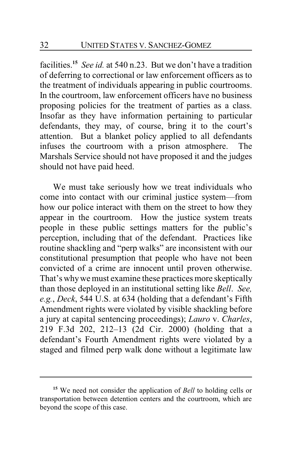facilities.**<sup>15</sup>** *See id.* at 540 n.23. But we don't have a tradition of deferring to correctional or law enforcement officers as to the treatment of individuals appearing in public courtrooms. In the courtroom, law enforcement officers have no business proposing policies for the treatment of parties as a class. Insofar as they have information pertaining to particular defendants, they may, of course, bring it to the court's attention. But a blanket policy applied to all defendants infuses the courtroom with a prison atmosphere. The Marshals Service should not have proposed it and the judges should not have paid heed.

We must take seriously how we treat individuals who come into contact with our criminal justice system—from how our police interact with them on the street to how they appear in the courtroom. How the justice system treats people in these public settings matters for the public's perception, including that of the defendant. Practices like routine shackling and "perp walks" are inconsistent with our constitutional presumption that people who have not been convicted of a crime are innocent until proven otherwise. That's whywe must examine these practices more skeptically than those deployed in an institutional setting like *Bell*. *See, e.g.*, *Deck*, 544 U.S. at 634 (holding that a defendant's Fifth Amendment rights were violated by visible shackling before a jury at capital sentencing proceedings); *Lauro* v. *Charles*, 219 F.3d 202, 212–13 (2d Cir. 2000) (holding that a defendant's Fourth Amendment rights were violated by a staged and filmed perp walk done without a legitimate law

**<sup>15</sup>** We need not consider the application of *Bell* to holding cells or transportation between detention centers and the courtroom, which are beyond the scope of this case.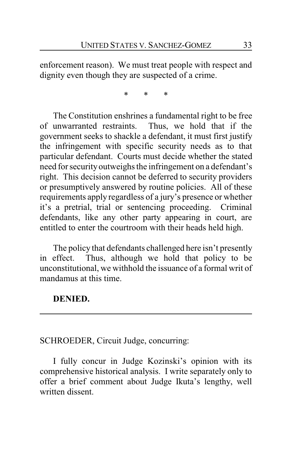enforcement reason). We must treat people with respect and dignity even though they are suspected of a crime.

\* \* \*

The Constitution enshrines a fundamental right to be free of unwarranted restraints. Thus, we hold that if the government seeks to shackle a defendant, it must first justify the infringement with specific security needs as to that particular defendant. Courts must decide whether the stated need for security outweighs the infringement on a defendant's right. This decision cannot be deferred to security providers or presumptively answered by routine policies. All of these requirements apply regardless of a jury's presence or whether it's a pretrial, trial or sentencing proceeding. Criminal defendants, like any other party appearing in court, are entitled to enter the courtroom with their heads held high.

The policy that defendants challenged here isn't presently in effect. Thus, although we hold that policy to be unconstitutional, we withhold the issuance of a formal writ of mandamus at this time.

### **DENIED.**

# SCHROEDER, Circuit Judge, concurring:

I fully concur in Judge Kozinski's opinion with its comprehensive historical analysis. I write separately only to offer a brief comment about Judge Ikuta's lengthy, well written dissent.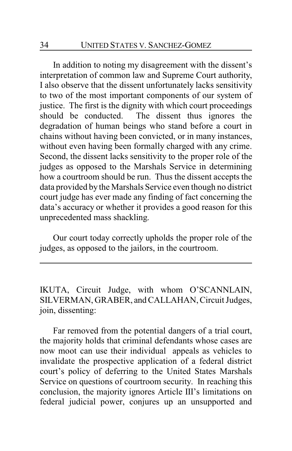In addition to noting my disagreement with the dissent's interpretation of common law and Supreme Court authority, I also observe that the dissent unfortunately lacks sensitivity to two of the most important components of our system of justice. The first is the dignity with which court proceedings should be conducted. The dissent thus ignores the degradation of human beings who stand before a court in chains without having been convicted, or in many instances, without even having been formally charged with any crime. Second, the dissent lacks sensitivity to the proper role of the judges as opposed to the Marshals Service in determining how a courtroom should be run. Thus the dissent accepts the data provided by the Marshals Service even though no district court judge has ever made any finding of fact concerning the data's accuracy or whether it provides a good reason for this unprecedented mass shackling.

Our court today correctly upholds the proper role of the judges, as opposed to the jailors, in the courtroom.

IKUTA, Circuit Judge, with whom O'SCANNLAIN, SILVERMAN, GRABER, and CALLAHAN, Circuit Judges, join, dissenting:

Far removed from the potential dangers of a trial court, the majority holds that criminal defendants whose cases are now moot can use their individual appeals as vehicles to invalidate the prospective application of a federal district court's policy of deferring to the United States Marshals Service on questions of courtroom security. In reaching this conclusion, the majority ignores Article III's limitations on federal judicial power, conjures up an unsupported and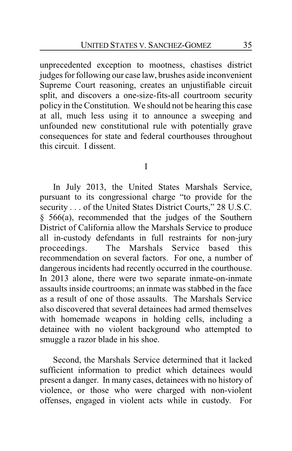unprecedented exception to mootness, chastises district judges for following our case law, brushes aside inconvenient Supreme Court reasoning, creates an unjustifiable circuit split, and discovers a one-size-fits-all courtroom security policy in the Constitution. We should not be hearing this case at all, much less using it to announce a sweeping and unfounded new constitutional rule with potentially grave consequences for state and federal courthouses throughout this circuit. I dissent.

I

In July 2013, the United States Marshals Service, pursuant to its congressional charge "to provide for the security . . . of the United States District Courts," 28 U.S.C. § 566(a), recommended that the judges of the Southern District of California allow the Marshals Service to produce all in-custody defendants in full restraints for non-jury proceedings. The Marshals Service based this recommendation on several factors. For one, a number of dangerous incidents had recently occurred in the courthouse. In 2013 alone, there were two separate inmate-on-inmate assaults inside courtrooms; an inmate was stabbed in the face as a result of one of those assaults. The Marshals Service also discovered that several detainees had armed themselves with homemade weapons in holding cells, including a detainee with no violent background who attempted to smuggle a razor blade in his shoe.

Second, the Marshals Service determined that it lacked sufficient information to predict which detainees would present a danger. In many cases, detainees with no history of violence, or those who were charged with non-violent offenses, engaged in violent acts while in custody. For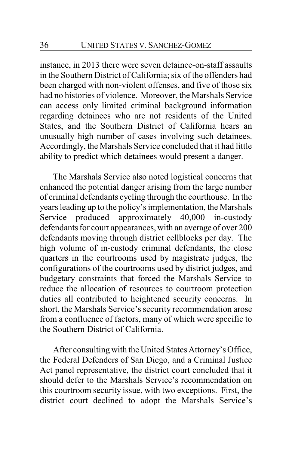instance, in 2013 there were seven detainee-on-staff assaults in the Southern District of California; six of the offenders had been charged with non-violent offenses, and five of those six had no histories of violence. Moreover, the Marshals Service can access only limited criminal background information regarding detainees who are not residents of the United States, and the Southern District of California hears an unusually high number of cases involving such detainees. Accordingly, the Marshals Service concluded that it had little ability to predict which detainees would present a danger.

The Marshals Service also noted logistical concerns that enhanced the potential danger arising from the large number of criminal defendants cycling through the courthouse. In the years leading up to the policy's implementation, the Marshals Service produced approximately 40,000 in-custody defendants for court appearances, with an average of over 200 defendants moving through district cellblocks per day. The high volume of in-custody criminal defendants, the close quarters in the courtrooms used by magistrate judges, the configurations of the courtrooms used by district judges, and budgetary constraints that forced the Marshals Service to reduce the allocation of resources to courtroom protection duties all contributed to heightened security concerns. In short, the Marshals Service's security recommendation arose from a confluence of factors, many of which were specific to the Southern District of California.

After consulting with the United States Attorney's Office, the Federal Defenders of San Diego, and a Criminal Justice Act panel representative, the district court concluded that it should defer to the Marshals Service's recommendation on this courtroom security issue, with two exceptions. First, the district court declined to adopt the Marshals Service's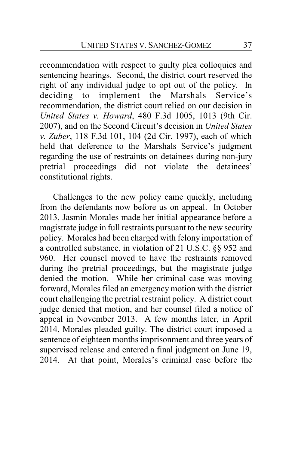recommendation with respect to guilty plea colloquies and sentencing hearings. Second, the district court reserved the right of any individual judge to opt out of the policy. In deciding to implement the Marshals Service's recommendation, the district court relied on our decision in *United States v. Howard*, 480 F.3d 1005, 1013 (9th Cir. 2007), and on the Second Circuit's decision in *United States v. Zuber*, 118 F.3d 101, 104 (2d Cir. 1997), each of which held that deference to the Marshals Service's judgment regarding the use of restraints on detainees during non-jury pretrial proceedings did not violate the detainees' constitutional rights.

Challenges to the new policy came quickly, including from the defendants now before us on appeal. In October 2013, Jasmin Morales made her initial appearance before a magistrate judge in full restraints pursuant to the new security policy. Morales had been charged with felony importation of a controlled substance, in violation of 21 U.S.C. §§ 952 and 960. Her counsel moved to have the restraints removed during the pretrial proceedings, but the magistrate judge denied the motion. While her criminal case was moving forward, Morales filed an emergency motion with the district court challenging the pretrial restraint policy. A district court judge denied that motion, and her counsel filed a notice of appeal in November 2013. A few months later, in April 2014, Morales pleaded guilty. The district court imposed a sentence of eighteen months imprisonment and three years of supervised release and entered a final judgment on June 19, 2014. At that point, Morales's criminal case before the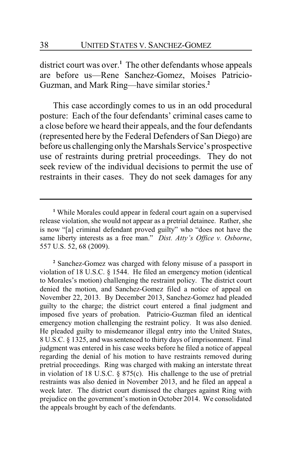district court was over.**<sup>1</sup>** The other defendants whose appeals are before us—Rene Sanchez-Gomez, Moises Patricio-Guzman, and Mark Ring—have similar stories.**<sup>2</sup>**

This case accordingly comes to us in an odd procedural posture: Each of the four defendants' criminal cases came to a close before we heard their appeals, and the four defendants (represented here by the Federal Defenders of San Diego) are before us challenging onlythe Marshals Service's prospective use of restraints during pretrial proceedings. They do not seek review of the individual decisions to permit the use of restraints in their cases. They do not seek damages for any

**<sup>2</sup>** Sanchez-Gomez was charged with felony misuse of a passport in violation of 18 U.S.C. § 1544. He filed an emergency motion (identical to Morales's motion) challenging the restraint policy. The district court denied the motion, and Sanchez-Gomez filed a notice of appeal on November 22, 2013. By December 2013, Sanchez-Gomez had pleaded guilty to the charge; the district court entered a final judgment and imposed five years of probation. Patricio-Guzman filed an identical emergency motion challenging the restraint policy. It was also denied. He pleaded guilty to misdemeanor illegal entry into the United States, 8 U.S.C. § 1325, and was sentenced to thirty days of imprisonment. Final judgment was entered in his case weeks before he filed a notice of appeal regarding the denial of his motion to have restraints removed during pretrial proceedings. Ring was charged with making an interstate threat in violation of 18 U.S.C. § 875(c). His challenge to the use of pretrial restraints was also denied in November 2013, and he filed an appeal a week later. The district court dismissed the charges against Ring with prejudice on the government's motion in October 2014. We consolidated the appeals brought by each of the defendants.

**<sup>1</sup>** While Morales could appear in federal court again on a supervised release violation, she would not appear as a pretrial detainee. Rather, she is now "[a] criminal defendant proved guilty" who "does not have the same liberty interests as a free man." *Dist. Atty's Office v. Osborne*, 557 U.S. 52, 68 (2009).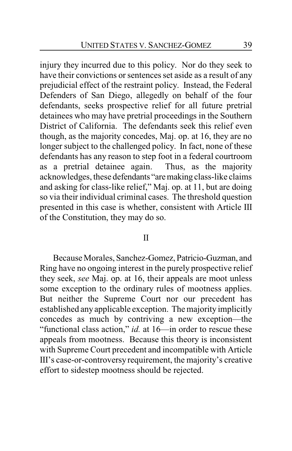injury they incurred due to this policy. Nor do they seek to have their convictions or sentences set aside as a result of any prejudicial effect of the restraint policy. Instead, the Federal Defenders of San Diego, allegedly on behalf of the four defendants, seeks prospective relief for all future pretrial detainees who may have pretrial proceedings in the Southern District of California. The defendants seek this relief even though, as the majority concedes, Maj. op. at 16, they are no longer subject to the challenged policy. In fact, none of these defendants has any reason to step foot in a federal courtroom as a pretrial detainee again. Thus, as the majority acknowledges, these defendants "aremaking class-like claims and asking for class-like relief," Maj. op. at 11, but are doing so via their individual criminal cases. The threshold question presented in this case is whether, consistent with Article III of the Constitution, they may do so.

### II

Because Morales, Sanchez-Gomez, Patricio-Guzman, and Ring have no ongoing interest in the purely prospective relief they seek, *see* Maj. op. at 16, their appeals are moot unless some exception to the ordinary rules of mootness applies. But neither the Supreme Court nor our precedent has established any applicable exception. The majority implicitly concedes as much by contriving a new exception—the "functional class action," *id.* at 16—in order to rescue these appeals from mootness. Because this theory is inconsistent with Supreme Court precedent and incompatible with Article III's case-or-controversy requirement, the majority's creative effort to sidestep mootness should be rejected.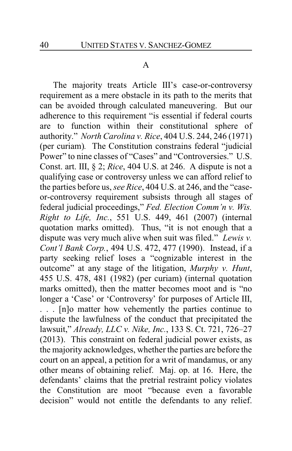### A

The majority treats Article III's case-or-controversy requirement as a mere obstacle in its path to the merits that can be avoided through calculated maneuvering. But our adherence to this requirement "is essential if federal courts are to function within their constitutional sphere of authority." *North Carolina v. Rice*, 404 U.S. 244, 246 (1971) (per curiam)*.* The Constitution constrains federal "judicial Power" to nine classes of "Cases" and "Controversies." U.S. Const. art. III, § 2; *Rice*, 404 U.S. at 246. A dispute is not a qualifying case or controversy unless we can afford relief to the parties before us, *see Rice*, 404 U.S. at 246, and the "caseor-controversy requirement subsists through all stages of federal judicial proceedings," *Fed. Election Comm'n v. Wis. Right to Life, Inc.*, 551 U.S. 449, 461 (2007) (internal quotation marks omitted). Thus, "it is not enough that a dispute was very much alive when suit was filed." *Lewis v. Cont'l Bank Corp.*, 494 U.S. 472, 477 (1990). Instead, if a party seeking relief loses a "cognizable interest in the outcome" at any stage of the litigation, *Murphy v. Hunt*, 455 U.S. 478, 481 (1982) (per curiam) (internal quotation marks omitted), then the matter becomes moot and is "no longer a 'Case' or 'Controversy' for purposes of Article III, . . . [n]o matter how vehemently the parties continue to dispute the lawfulness of the conduct that precipitated the lawsuit," *Already, LLC v. Nike, Inc.*, 133 S. Ct. 721, 726–27 (2013). This constraint on federal judicial power exists, as the majority acknowledges, whether the parties are before the court on an appeal, a petition for a writ of mandamus, or any other means of obtaining relief. Maj. op. at 16. Here, the defendants' claims that the pretrial restraint policy violates the Constitution are moot "because even a favorable decision" would not entitle the defendants to any relief.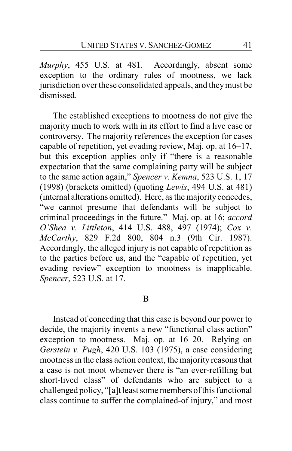*Murphy*, 455 U.S. at 481. Accordingly, absent some exception to the ordinary rules of mootness, we lack jurisdiction over these consolidated appeals, and theymust be dismissed.

The established exceptions to mootness do not give the majority much to work with in its effort to find a live case or controversy. The majority references the exception for cases capable of repetition, yet evading review, Maj. op. at 16–17, but this exception applies only if "there is a reasonable expectation that the same complaining party will be subject to the same action again," *Spencer v. Kemna*, 523 U.S. 1, 17 (1998) (brackets omitted) (quoting *Lewis*, 494 U.S. at 481) (internal alterations omitted). Here, as the majority concedes, "we cannot presume that defendants will be subject to criminal proceedings in the future." Maj. op. at 16; *accord O'Shea v. Littleton*, 414 U.S. 488, 497 (1974); *Cox v. McCarthy*, 829 F.2d 800, 804 n.3 (9th Cir. 1987). Accordingly, the alleged injury is not capable of repetition as to the parties before us, and the "capable of repetition, yet evading review" exception to mootness is inapplicable. *Spencer*, 523 U.S. at 17.

### B

Instead of conceding that this case is beyond our power to decide, the majority invents a new "functional class action" exception to mootness. Maj. op. at 16–20. Relying on *Gerstein v. Pugh*, 420 U.S. 103 (1975), a case considering mootness in the class action context, the majority reasons that a case is not moot whenever there is "an ever-refilling but short-lived class" of defendants who are subject to a challenged policy, "[a]t least some members of this functional class continue to suffer the complained-of injury," and most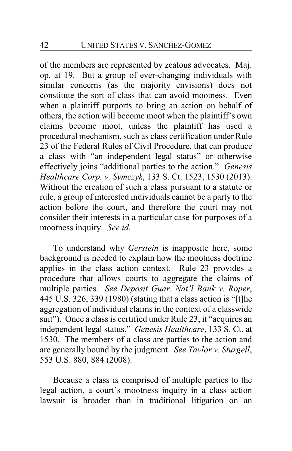of the members are represented by zealous advocates. Maj. op. at 19. But a group of ever-changing individuals with similar concerns (as the majority envisions) does not constitute the sort of class that can avoid mootness. Even when a plaintiff purports to bring an action on behalf of others, the action will become moot when the plaintiff's own claims become moot, unless the plaintiff has used a procedural mechanism, such as class certification under Rule 23 of the Federal Rules of Civil Procedure, that can produce a class with "an independent legal status" or otherwise effectively joins "additional parties to the action." *Genesis Healthcare Corp. v. Symczyk*, 133 S. Ct. 1523, 1530 (2013). Without the creation of such a class pursuant to a statute or rule, a group of interested individuals cannot be a party to the action before the court, and therefore the court may not consider their interests in a particular case for purposes of a mootness inquiry. *See id.*

To understand why *Gerstein* is inapposite here, some background is needed to explain how the mootness doctrine applies in the class action context. Rule 23 provides a procedure that allows courts to aggregate the claims of multiple parties. *See Deposit Guar. Nat'l Bank v. Roper*, 445 U.S. 326, 339 (1980) (stating that a class action is "[t]he aggregation of individual claims in the context of a classwide suit"). Once a class is certified under Rule 23, it "acquires an independent legal status." *Genesis Healthcare*, 133 S. Ct. at 1530. The members of a class are parties to the action and are generally bound by the judgment. *See Taylor v. Sturgell*, 553 U.S. 880, 884 (2008).

Because a class is comprised of multiple parties to the legal action, a court's mootness inquiry in a class action lawsuit is broader than in traditional litigation on an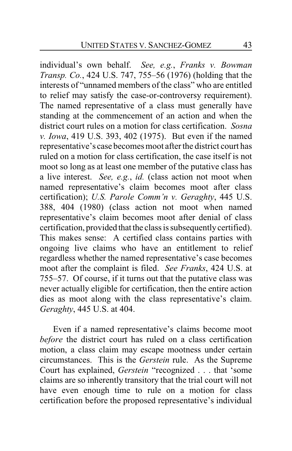individual's own behalf. *See, e.g.*, *Franks v. Bowman Transp. Co.*, 424 U.S. 747, 755–56 (1976) (holding that the interests of "unnamed members of the class" who are entitled to relief may satisfy the case-or-controversy requirement). The named representative of a class must generally have standing at the commencement of an action and when the district court rules on a motion for class certification. *Sosna v. Iowa*, 419 U.S. 393, 402 (1975). But even if the named representative's case becomes moot after the district court has ruled on a motion for class certification, the case itself is not moot so long as at least one member of the putative class has a live interest. *See, e.g.*, *id.* (class action not moot when named representative's claim becomes moot after class certification); *U.S. Parole Comm'n v. Geraghty*, 445 U.S. 388, 404 (1980) (class action not moot when named representative's claim becomes moot after denial of class certification, provided that the class is subsequentlycertified). This makes sense: A certified class contains parties with ongoing live claims who have an entitlement to relief regardless whether the named representative's case becomes moot after the complaint is filed. *See Franks*, 424 U.S. at 755–57. Of course, if it turns out that the putative class was never actually eligible for certification, then the entire action dies as moot along with the class representative's claim. *Geraghty*, 445 U.S. at 404.

Even if a named representative's claims become moot *before* the district court has ruled on a class certification motion, a class claim may escape mootness under certain circumstances. This is the *Gerstein* rule. As the Supreme Court has explained, *Gerstein* "recognized . . . that 'some claims are so inherently transitory that the trial court will not have even enough time to rule on a motion for class certification before the proposed representative's individual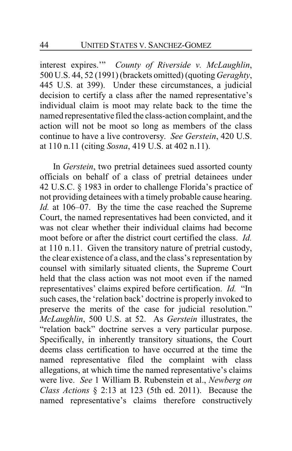interest expires.'" *County of Riverside v. McLaughlin*, 500 U.S. 44, 52 (1991) (brackets omitted) (quoting *Geraghty*, 445 U.S. at 399). Under these circumstances, a judicial decision to certify a class after the named representative's individual claim is moot may relate back to the time the named representative filed the class-action complaint, and the action will not be moot so long as members of the class continue to have a live controversy. *See Gerstein*, 420 U.S. at 110 n.11 (citing *Sosna*, 419 U.S. at 402 n.11).

In *Gerstein*, two pretrial detainees sued assorted county officials on behalf of a class of pretrial detainees under 42 U.S.C. § 1983 in order to challenge Florida's practice of not providing detainees with a timely probable cause hearing. *Id.* at 106–07. By the time the case reached the Supreme Court, the named representatives had been convicted, and it was not clear whether their individual claims had become moot before or after the district court certified the class. *Id.* at 110 n.11. Given the transitory nature of pretrial custody, the clear existence of a class, and the class's representation by counsel with similarly situated clients, the Supreme Court held that the class action was not moot even if the named representatives' claims expired before certification. *Id.* "In such cases, the 'relation back' doctrine is properly invoked to preserve the merits of the case for judicial resolution." *McLaughlin*, 500 U.S. at 52. As *Gerstein* illustrates, the "relation back" doctrine serves a very particular purpose. Specifically, in inherently transitory situations, the Court deems class certification to have occurred at the time the named representative filed the complaint with class allegations, at which time the named representative's claims were live. *See* 1 William B. Rubenstein et al., *Newberg on Class Actions* § 2:13 at 123 (5th ed. 2011). Because the named representative's claims therefore constructively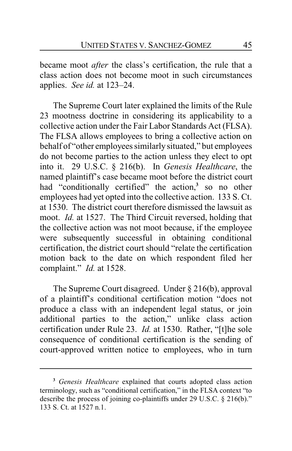became moot *after* the class's certification, the rule that a class action does not become moot in such circumstances applies. *See id.* at 123–24.

The Supreme Court later explained the limits of the Rule 23 mootness doctrine in considering its applicability to a collective action under the Fair Labor Standards Act (FLSA). The FLSA allows employees to bring a collective action on behalf of "other employees similarly situated," but employees do not become parties to the action unless they elect to opt into it. 29 U.S.C. § 216(b). In *Genesis Healthcare*, the named plaintiff's case became moot before the district court had "conditionally certified" the action,**<sup>3</sup>** so no other employees had yet opted into the collective action. 133 S. Ct. at 1530. The district court therefore dismissed the lawsuit as moot. *Id.* at 1527. The Third Circuit reversed, holding that the collective action was not moot because, if the employee were subsequently successful in obtaining conditional certification, the district court should "relate the certification motion back to the date on which respondent filed her complaint." *Id.* at 1528.

The Supreme Court disagreed. Under § 216(b), approval of a plaintiff's conditional certification motion "does not produce a class with an independent legal status, or join additional parties to the action," unlike class action certification under Rule 23. *Id.* at 1530. Rather, "[t]he sole consequence of conditional certification is the sending of court-approved written notice to employees, who in turn

**<sup>3</sup>** *Genesis Healthcare* explained that courts adopted class action terminology, such as "conditional certification," in the FLSA context "to describe the process of joining co-plaintiffs under 29 U.S.C. § 216(b)." 133 S. Ct. at 1527 n.1.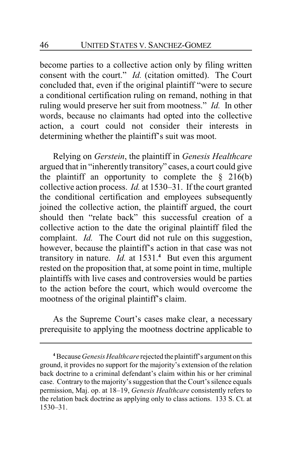become parties to a collective action only by filing written consent with the court." *Id.* (citation omitted). The Court concluded that, even if the original plaintiff "were to secure a conditional certification ruling on remand, nothing in that ruling would preserve her suit from mootness." *Id.* In other words, because no claimants had opted into the collective action, a court could not consider their interests in determining whether the plaintiff's suit was moot.

Relying on *Gerstein*, the plaintiff in *Genesis Healthcare* argued that in "inherently transitory" cases, a court could give the plaintiff an opportunity to complete the  $\S$  216(b) collective action process. *Id.* at 1530–31. If the court granted the conditional certification and employees subsequently joined the collective action, the plaintiff argued, the court should then "relate back" this successful creation of a collective action to the date the original plaintiff filed the complaint. *Id.* The Court did not rule on this suggestion, however, because the plaintiff's action in that case was not transitory in nature. *Id.* at 1531.**<sup>4</sup>** But even this argument rested on the proposition that, at some point in time, multiple plaintiffs with live cases and controversies would be parties to the action before the court, which would overcome the mootness of the original plaintiff's claim.

As the Supreme Court's cases make clear, a necessary prerequisite to applying the mootness doctrine applicable to

**<sup>4</sup>**Because *Genesis Healthcare* rejected the plaintiff's argument on this ground, it provides no support for the majority's extension of the relation back doctrine to a criminal defendant's claim within his or her criminal case. Contrary to the majority's suggestion that the Court's silence equals permission, Maj. op. at 18–19, *Genesis Healthcare* consistently refers to the relation back doctrine as applying only to class actions. 133 S. Ct. at 1530–31.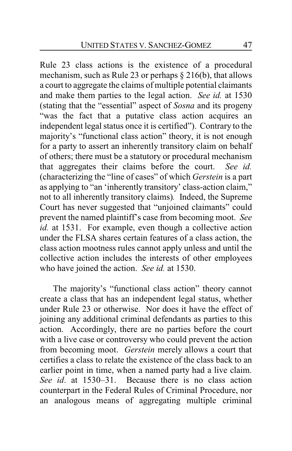Rule 23 class actions is the existence of a procedural mechanism, such as Rule 23 or perhaps  $\S 216(b)$ , that allows a court to aggregate the claims of multiple potential claimants and make them parties to the legal action. *See id.* at 1530 (stating that the "essential" aspect of *Sosna* and its progeny "was the fact that a putative class action acquires an independent legal status once it is certified"). Contrary to the majority's "functional class action" theory, it is not enough for a party to assert an inherently transitory claim on behalf of others; there must be a statutory or procedural mechanism that aggregates their claims before the court. *See id.* (characterizing the "line of cases" of which *Gerstein* is a part as applying to "an 'inherently transitory' class-action claim," not to all inherently transitory claims)*.* Indeed, the Supreme Court has never suggested that "unjoined claimants" could prevent the named plaintiff's case from becoming moot. *See id.* at 1531. For example, even though a collective action under the FLSA shares certain features of a class action, the class action mootness rules cannot apply unless and until the collective action includes the interests of other employees who have joined the action. *See id.* at 1530.

The majority's "functional class action" theory cannot create a class that has an independent legal status, whether under Rule 23 or otherwise. Nor does it have the effect of joining any additional criminal defendants as parties to this action. Accordingly, there are no parties before the court with a live case or controversy who could prevent the action from becoming moot. *Gerstein* merely allows a court that certifies a class to relate the existence of the class back to an earlier point in time, when a named party had a live claim. *See id*. at 1530–31. Because there is no class action counterpart in the Federal Rules of Criminal Procedure, nor an analogous means of aggregating multiple criminal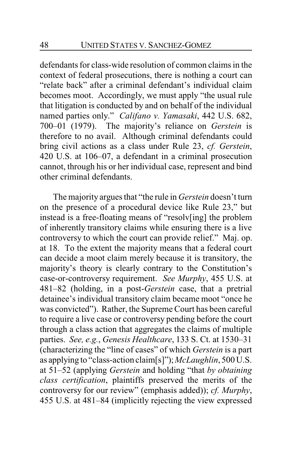defendants for class-wide resolution of common claims in the context of federal prosecutions, there is nothing a court can "relate back" after a criminal defendant's individual claim becomes moot. Accordingly, we must apply "the usual rule that litigation is conducted by and on behalf of the individual named parties only." *Califano v. Yamasaki*, 442 U.S. 682, 700–01 (1979). The majority's reliance on *Gerstein* is therefore to no avail. Although criminal defendants could bring civil actions as a class under Rule 23, *cf. Gerstein*, 420 U.S. at 106–07, a defendant in a criminal prosecution cannot, through his or her individual case, represent and bind other criminal defendants.

The majority argues that "the rule in *Gerstein* doesn't turn on the presence of a procedural device like Rule 23," but instead is a free-floating means of "resolv[ing] the problem of inherently transitory claims while ensuring there is a live controversy to which the court can provide relief." Maj. op. at 18. To the extent the majority means that a federal court can decide a moot claim merely because it is transitory, the majority's theory is clearly contrary to the Constitution's case-or-controversy requirement. *See Murphy*, 455 U.S. at 481–82 (holding, in a post-*Gerstein* case, that a pretrial detainee's individual transitory claim became moot "once he was convicted"). Rather, the Supreme Court has been careful to require a live case or controversy pending before the court through a class action that aggregates the claims of multiple parties. *See, e.g.*, *Genesis Healthcare*, 133 S. Ct. at 1530–31 (characterizing the "line of cases" of which *Gerstein* is a part as applying to "class-action claim[s]"); *McLaughlin*, 500 U.S. at 51–52 (applying *Gerstein* and holding "that *by obtaining class certification*, plaintiffs preserved the merits of the controversy for our review" (emphasis added)); *cf. Murphy*, 455 U.S. at 481–84 (implicitly rejecting the view expressed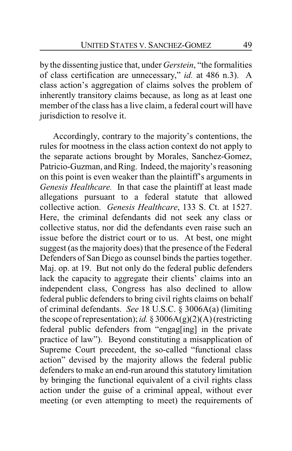by the dissenting justice that, under *Gerstein*, "the formalities of class certification are unnecessary," *id.* at 486 n.3). A class action's aggregation of claims solves the problem of inherently transitory claims because, as long as at least one member of the class has a live claim, a federal court will have jurisdiction to resolve it.

Accordingly, contrary to the majority's contentions, the rules for mootness in the class action context do not apply to the separate actions brought by Morales, Sanchez-Gomez, Patricio-Guzman, and Ring. Indeed, the majority's reasoning on this point is even weaker than the plaintiff's arguments in *Genesis Healthcare.* In that case the plaintiff at least made allegations pursuant to a federal statute that allowed collective action. *Genesis Healthcare*, 133 S. Ct. at 1527. Here, the criminal defendants did not seek any class or collective status, nor did the defendants even raise such an issue before the district court or to us. At best, one might suggest (as the majority does) that the presence of the Federal Defenders of San Diego as counsel binds the parties together. Maj. op. at 19. But not only do the federal public defenders lack the capacity to aggregate their clients' claims into an independent class, Congress has also declined to allow federal public defenders to bring civil rights claims on behalf of criminal defendants. *See* 18 U.S.C. § 3006A(a) (limiting the scope of representation); *id.* § 3006A(g)(2)(A) (restricting federal public defenders from "engag[ing] in the private practice of law"). Beyond constituting a misapplication of Supreme Court precedent, the so-called "functional class action" devised by the majority allows the federal public defenders to make an end-run around this statutory limitation by bringing the functional equivalent of a civil rights class action under the guise of a criminal appeal, without ever meeting (or even attempting to meet) the requirements of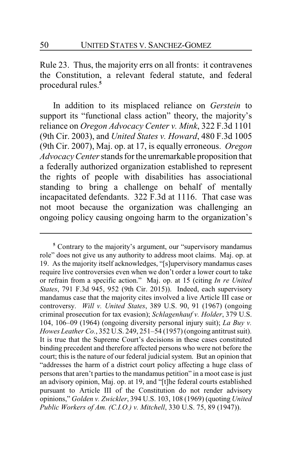Rule 23. Thus, the majority errs on all fronts: it contravenes the Constitution, a relevant federal statute, and federal procedural rules.**<sup>5</sup>**

In addition to its misplaced reliance on *Gerstein* to support its "functional class action" theory, the majority's reliance on *Oregon Advocacy Center v. Mink*, 322 F.3d 1101 (9th Cir. 2003), and *United States v. Howard*, 480 F.3d 1005 (9th Cir. 2007), Maj. op. at 17, is equally erroneous. *Oregon Advocacy Center*stands for the unremarkable proposition that a federally authorized organization established to represent the rights of people with disabilities has associational standing to bring a challenge on behalf of mentally incapacitated defendants. 322 F.3d at 1116. That case was not moot because the organization was challenging an ongoing policy causing ongoing harm to the organization's

**<sup>5</sup>** Contrary to the majority's argument, our "supervisory mandamus role" does not give us any authority to address moot claims. Maj. op. at 19. As the majority itself acknowledges, "[s]upervisory mandamus cases require live controversies even when we don't order a lower court to take or refrain from a specific action." Maj. op. at 15 (citing *In re United States*, 791 F.3d 945, 952 (9th Cir. 2015)). Indeed, each supervisory mandamus case that the majority cites involved a live Article III case or controversy. *Will v. United States*, 389 U.S. 90, 91 (1967) (ongoing criminal prosecution for tax evasion); *Schlagenhauf v. Holder*, 379 U.S. 104, 106–09 (1964) (ongoing diversity personal injury suit); *La Buy v. Howes Leather Co.*, 352 U.S. 249, 251–54 (1957) (ongoing antitrust suit). It is true that the Supreme Court's decisions in these cases constituted binding precedent and therefore affected persons who were not before the court; this is the nature of our federal judicial system. But an opinion that "addresses the harm of a district court policy affecting a huge class of personsthat aren't parties to the mandamus petition" in a moot case is just an advisory opinion, Maj. op. at 19, and "[t]he federal courts established pursuant to Article III of the Constitution do not render advisory opinions," *Golden v. Zwickler*, 394 U.S. 103, 108 (1969) (quoting *United Public Workers of Am. (C.I.O.) v. Mitchell*, 330 U.S. 75, 89 (1947)).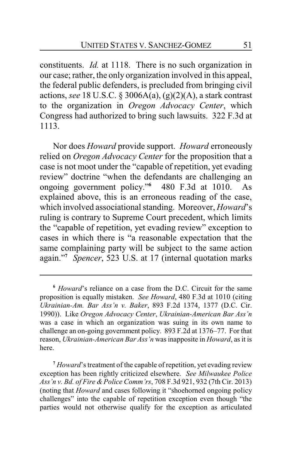constituents. *Id.* at 1118. There is no such organization in our case; rather, the only organization involved in this appeal, the federal public defenders, is precluded from bringing civil actions, *see* 18 U.S.C. § 3006A(a), (g)(2)(A), a stark contrast to the organization in *Oregon Advocacy Center*, which Congress had authorized to bring such lawsuits. 322 F.3d at 1113.

Nor does *Howard* provide support. *Howard* erroneously relied on *Oregon Advocacy Center* for the proposition that a case is not moot under the "capable of repetition, yet evading review" doctrine "when the defendants are challenging an ongoing government policy."**<sup>6</sup>** 480 F.3d at 1010. As explained above, this is an erroneous reading of the case, which involved associational standing. Moreover, *Howard*'s ruling is contrary to Supreme Court precedent, which limits the "capable of repetition, yet evading review" exception to cases in which there is "a reasonable expectation that the same complaining party will be subject to the same action again."**<sup>7</sup>** *Spencer*, 523 U.S. at 17 (internal quotation marks

**<sup>6</sup>** *Howard*'s reliance on a case from the D.C. Circuit for the same proposition is equally mistaken. *See Howard*, 480 F.3d at 1010 (citing *Ukrainian-Am. Bar Ass'n v. Baker*, 893 F.2d 1374, 1377 (D.C. Cir. 1990)). Like *Oregon Advocacy Center*, *Ukrainian-American Bar Ass'n* was a case in which an organization was suing in its own name to challenge an on-going government policy. 893 F.2d at 1376–77. For that reason, *Ukrainian-American Bar Ass'n* was inapposite in *Howard*, as it is here.

**<sup>7</sup>** *Howard*'s treatment of the capable of repetition, yet evading review exception has been rightly criticized elsewhere. *See Milwaukee Police Ass'n v. Bd. of Fire &Police Comm'rs*, 708 F.3d 921, 932 (7th Cir. 2013) (noting that *Howard* and cases following it "shoehorned ongoing policy challenges" into the capable of repetition exception even though "the parties would not otherwise qualify for the exception as articulated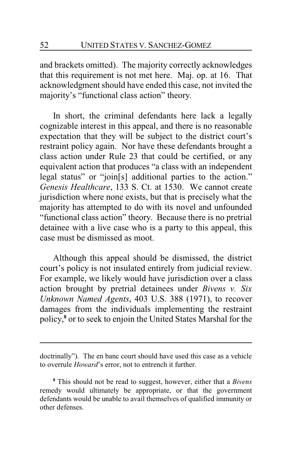and brackets omitted). The majority correctly acknowledges that this requirement is not met here. Maj. op. at 16. That acknowledgment should have ended this case, not invited the majority's "functional class action" theory.

In short, the criminal defendants here lack a legally cognizable interest in this appeal, and there is no reasonable expectation that they will be subject to the district court's restraint policy again. Nor have these defendants brought a class action under Rule 23 that could be certified, or any equivalent action that produces "a class with an independent legal status" or "join[s] additional parties to the action." *Genesis Healthcare*, 133 S. Ct. at 1530. We cannot create jurisdiction where none exists, but that is precisely what the majority has attempted to do with its novel and unfounded "functional class action" theory. Because there is no pretrial detainee with a live case who is a party to this appeal, this case must be dismissed as moot.

Although this appeal should be dismissed, the district court's policy is not insulated entirely from judicial review. For example, we likely would have jurisdiction over a class action brought by pretrial detainees under *Bivens v. Six Unknown Named Agents*, 403 U.S. 388 (1971), to recover damages from the individuals implementing the restraint policy, **8** or to seek to enjoin the United States Marshal for the

doctrinally"). The en banc court should have used this case as a vehicle to overrule *Howard*'s error, not to entrench it further.

**<sup>8</sup>** This should not be read to suggest, however, either that a *Bivens* remedy would ultimately be appropriate, or that the government defendants would be unable to avail themselves of qualified immunity or other defenses.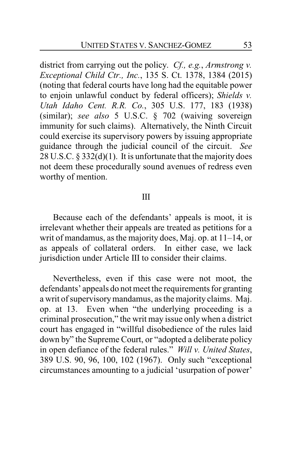district from carrying out the policy. *Cf., e.g.*, *Armstrong v. Exceptional Child Ctr., Inc.*, 135 S. Ct. 1378, 1384 (2015) (noting that federal courts have long had the equitable power to enjoin unlawful conduct by federal officers); *Shields v. Utah Idaho Cent. R.R. Co.*, 305 U.S. 177, 183 (1938) (similar); *see also* 5 U.S.C. § 702 (waiving sovereign immunity for such claims). Alternatively, the Ninth Circuit could exercise its supervisory powers by issuing appropriate guidance through the judicial council of the circuit. *See* 28 U.S.C. § 332(d)(1). It is unfortunate that the majority does not deem these procedurally sound avenues of redress even worthy of mention.

### III

Because each of the defendants' appeals is moot, it is irrelevant whether their appeals are treated as petitions for a writ of mandamus, as the majority does, Maj. op. at 11–14, or as appeals of collateral orders. In either case, we lack jurisdiction under Article III to consider their claims.

Nevertheless, even if this case were not moot, the defendants' appeals do not meet the requirements for granting a writ of supervisorymandamus, as the majority claims. Maj. op. at 13. Even when "the underlying proceeding is a criminal prosecution," the writ may issue only when a district court has engaged in "willful disobedience of the rules laid down by" the Supreme Court, or "adopted a deliberate policy in open defiance of the federal rules." *Will v. United States*, 389 U.S. 90, 96, 100, 102 (1967). Only such "exceptional circumstances amounting to a judicial 'usurpation of power'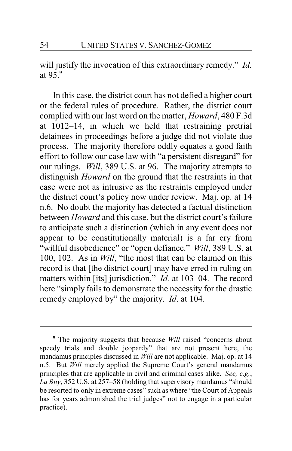will justify the invocation of this extraordinary remedy." *Id.* at 95.**<sup>9</sup>**

In this case, the district court has not defied a higher court or the federal rules of procedure. Rather, the district court complied with our last word on the matter, *Howard*, 480 F.3d at 1012–14, in which we held that restraining pretrial detainees in proceedings before a judge did not violate due process. The majority therefore oddly equates a good faith effort to follow our case law with "a persistent disregard" for our rulings. *Will*, 389 U.S. at 96. The majority attempts to distinguish *Howard* on the ground that the restraints in that case were not as intrusive as the restraints employed under the district court's policy now under review. Maj. op. at 14 n.6. No doubt the majority has detected a factual distinction between *Howard* and this case, but the district court's failure to anticipate such a distinction (which in any event does not appear to be constitutionally material) is a far cry from "willful disobedience" or "open defiance." *Will*, 389 U.S. at 100, 102. As in *Will*, "the most that can be claimed on this record is that [the district court] may have erred in ruling on matters within [its] jurisdiction." *Id.* at 103–04. The record here "simply fails to demonstrate the necessity for the drastic remedy employed by" the majority. *Id*. at 104.

**<sup>9</sup>** The majority suggests that because *Will* raised "concerns about speedy trials and double jeopardy" that are not present here, the mandamus principles discussed in *Will* are not applicable. Maj. op. at 14 n.5. But *Will* merely applied the Supreme Court's general mandamus principles that are applicable in civil and criminal cases alike. *See, e.g.*, *La Buy*, 352 U.S. at 257–58 (holding that supervisory mandamus "should be resorted to only in extreme cases" such as where "the Court of Appeals has for years admonished the trial judges" not to engage in a particular practice).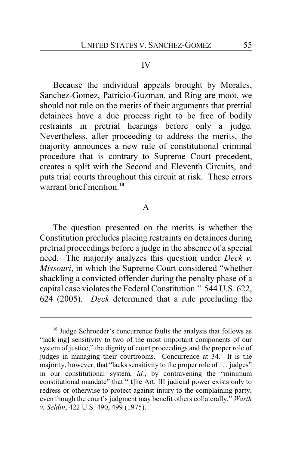#### IV

Because the individual appeals brought by Morales, Sanchez-Gomez, Patricio-Guzman, and Ring are moot, we should not rule on the merits of their arguments that pretrial detainees have a due process right to be free of bodily restraints in pretrial hearings before only a judge. Nevertheless, after proceeding to address the merits, the majority announces a new rule of constitutional criminal procedure that is contrary to Supreme Court precedent, creates a split with the Second and Eleventh Circuits, and puts trial courts throughout this circuit at risk. These errors warrant brief mention<sup>10</sup>

### A

The question presented on the merits is whether the Constitution precludes placing restraints on detainees during pretrial proceedings before a judge in the absence of a special need. The majority analyzes this question under *Deck v. Missouri*, in which the Supreme Court considered "whether shackling a convicted offender during the penalty phase of a capital case violates the Federal Constitution." 544 U.S. 622, 624 (2005). *Deck* determined that a rule precluding the

**<sup>10</sup>** Judge Schroeder's concurrence faults the analysis that follows as "lack[ing] sensitivity to two of the most important components of our system of justice," the dignity of court proceedings and the proper role of judges in managing their courtrooms. Concurrence at 34. It is the majority, however, that "lacks sensitivity to the proper role of . . . judges" in our constitutional system, *id.*, by contravening the "minimum constitutional mandate" that "[t]he Art. III judicial power exists only to redress or otherwise to protect against injury to the complaining party, even though the court's judgment may benefit others collaterally," *Warth v. Seldin*, 422 U.S. 490, 499 (1975).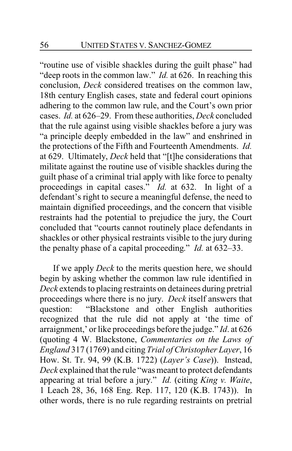"routine use of visible shackles during the guilt phase" had "deep roots in the common law." *Id.* at 626. In reaching this conclusion, *Deck* considered treatises on the common law, 18th century English cases, state and federal court opinions adhering to the common law rule, and the Court's own prior cases. *Id.* at 626–29. From these authorities, *Deck* concluded that the rule against using visible shackles before a jury was "a principle deeply embedded in the law" and enshrined in the protections of the Fifth and Fourteenth Amendments. *Id.* at 629. Ultimately, *Deck* held that "[t]he considerations that militate against the routine use of visible shackles during the guilt phase of a criminal trial apply with like force to penalty proceedings in capital cases." *Id.* at 632. In light of a defendant's right to secure a meaningful defense, the need to maintain dignified proceedings, and the concern that visible restraints had the potential to prejudice the jury, the Court concluded that "courts cannot routinely place defendants in shackles or other physical restraints visible to the jury during the penalty phase of a capital proceeding." *Id.* at 632–33.

If we apply *Deck* to the merits question here, we should begin by asking whether the common law rule identified in *Deck* extends to placing restraints on detainees during pretrial proceedings where there is no jury. *Deck* itself answers that question: "Blackstone and other English authorities recognized that the rule did not apply at 'the time of arraignment,' or like proceedings before the judge." *Id*. at 626 (quoting 4 W. Blackstone, *Commentaries on the Laws of England* 317 (1769) and citing *Trial of Christopher Layer*, 16 How. St. Tr. 94, 99 (K.B. 1722) (*Layer's Case*)). Instead, *Deck* explained that the rule "was meant to protect defendants appearing at trial before a jury." *Id.* (citing *King v. Waite*, 1 Leach 28, 36, 168 Eng. Rep. 117, 120 (K.B. 1743)). In other words, there is no rule regarding restraints on pretrial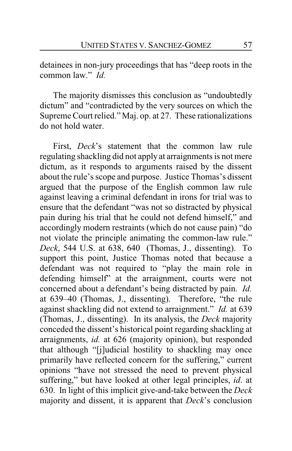detainees in non-jury proceedings that has "deep roots in the common law." *Id.*

The majority dismisses this conclusion as "undoubtedly dictum" and "contradicted by the very sources on which the Supreme Court relied." Maj. op. at 27. These rationalizations do not hold water.

First, *Deck*'s statement that the common law rule regulating shackling did not apply at arraignments is not mere dictum, as it responds to arguments raised by the dissent about the rule's scope and purpose. Justice Thomas's dissent argued that the purpose of the English common law rule against leaving a criminal defendant in irons for trial was to ensure that the defendant "was not so distracted by physical pain during his trial that he could not defend himself," and accordingly modern restraints (which do not cause pain) "do not violate the principle animating the common-law rule." *Deck*, 544 U.S. at 638, 640 (Thomas, J., dissenting). To support this point, Justice Thomas noted that because a defendant was not required to "play the main role in defending himself" at the arraignment, courts were not concerned about a defendant's being distracted by pain. *Id.* at 639–40 (Thomas, J., dissenting). Therefore, "the rule against shackling did not extend to arraignment." *Id.* at 639 (Thomas, J., dissenting). In its analysis, the *Deck* majority conceded the dissent's historical point regarding shackling at arraignments, *id.* at 626 (majority opinion), but responded that although "[j]udicial hostility to shackling may once primarily have reflected concern for the suffering," current opinions "have not stressed the need to prevent physical suffering," but have looked at other legal principles, *id*. at 630. In light of this implicit give-and-take between the *Deck* majority and dissent, it is apparent that *Deck*'s conclusion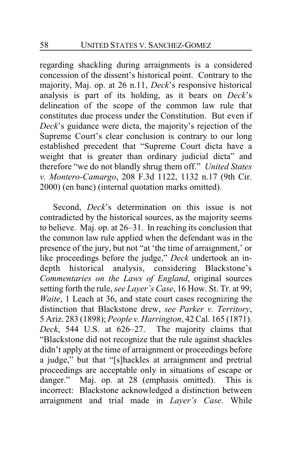regarding shackling during arraignments is a considered concession of the dissent's historical point. Contrary to the majority, Maj. op. at 26 n.11, *Deck*'s responsive historical analysis is part of its holding, as it bears on *Deck*'s delineation of the scope of the common law rule that constitutes due process under the Constitution. But even if *Deck*'s guidance were dicta, the majority's rejection of the Supreme Court's clear conclusion is contrary to our long established precedent that "Supreme Court dicta have a weight that is greater than ordinary judicial dicta" and therefore "we do not blandly shrug them off." *United States v. Montero-Camargo*, 208 F.3d 1122, 1132 n.17 (9th Cir. 2000) (en banc) (internal quotation marks omitted).

Second, *Deck*'s determination on this issue is not contradicted by the historical sources, as the majority seems to believe. Maj. op. at 26–31. In reaching its conclusion that the common law rule applied when the defendant was in the presence of the jury, but not "at 'the time of arraignment,' or like proceedings before the judge," *Deck* undertook an indepth historical analysis, considering Blackstone's *Commentaries on the Laws of England*, original sources setting forth the rule, *see Layer's Case*, 16 How. St. Tr. at 99; *Waite*, 1 Leach at 36, and state court cases recognizing the distinction that Blackstone drew, *see Parker v. Territory*, 5 Ariz. 283 (1898); *People v. Harrington*, 42 Cal. 165 (1871). *Deck*, 544 U.S. at 626–27. The majority claims that "Blackstone did not recognize that the rule against shackles didn't apply at the time of arraignment or proceedings before a judge," but that "[s]hackles at arraignment and pretrial proceedings are acceptable only in situations of escape or danger." Maj. op. at 28 (emphasis omitted). This is incorrect: Blackstone acknowledged a distinction between arraignment and trial made in *Layer's Case*. While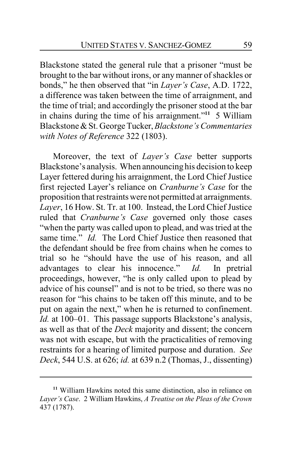Blackstone stated the general rule that a prisoner "must be brought to the bar without irons, or any manner of shackles or bonds," he then observed that "in *Layer's Case*, A.D. 1722, a difference was taken between the time of arraignment, and the time of trial; and accordingly the prisoner stood at the bar in chains during the time of his arraignment."**<sup>11</sup>** 5 William Blackstone &St. George Tucker,*Blackstone's Commentaries with Notes of Reference* 322 (1803).

Moreover, the text of *Layer's Case* better supports Blackstone's analysis. When announcing his decision to keep Layer fettered during his arraignment, the Lord Chief Justice first rejected Layer's reliance on *Cranburne's Case* for the proposition that restraints were not permitted at arraignments. *Layer*, 16 How. St. Tr. at 100. Instead, the Lord Chief Justice ruled that *Cranburne's Case* governed only those cases "when the party was called upon to plead, and was tried at the same time." *Id.* The Lord Chief Justice then reasoned that the defendant should be free from chains when he comes to trial so he "should have the use of his reason, and all advantages to clear his innocence." *Id.* In pretrial proceedings, however, "he is only called upon to plead by advice of his counsel" and is not to be tried, so there was no reason for "his chains to be taken off this minute, and to be put on again the next," when he is returned to confinement. *Id.* at 100–01. This passage supports Blackstone's analysis, as well as that of the *Deck* majority and dissent; the concern was not with escape, but with the practicalities of removing restraints for a hearing of limited purpose and duration. *See Deck*, 544 U.S. at 626; *id.* at 639 n.2 (Thomas, J., dissenting)

**<sup>11</sup>** William Hawkins noted this same distinction, also in reliance on *Layer's Case*. 2 William Hawkins, *A Treatise on the Pleas of the Crown* 437 (1787).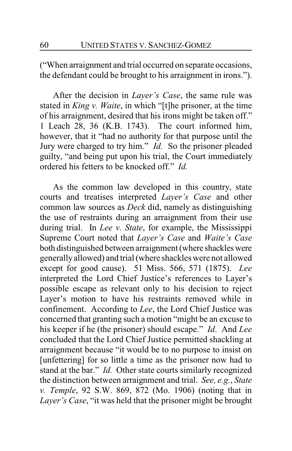("When arraignment and trial occurred on separate occasions, the defendant could be brought to his arraignment in irons.").

After the decision in *Layer's Case*, the same rule was stated in *King v. Waite*, in which "[t]he prisoner, at the time of his arraignment, desired that his irons might be taken off." 1 Leach 28, 36 (K.B. 1743). The court informed him, however, that it "had no authority for that purpose until the Jury were charged to try him." *Id.* So the prisoner pleaded guilty, "and being put upon his trial, the Court immediately ordered his fetters to be knocked off." *Id.*

As the common law developed in this country, state courts and treatises interpreted *Layer's Case* and other common law sources as *Deck* did, namely as distinguishing the use of restraints during an arraignment from their use during trial. In *Lee v. State*, for example, the Mississippi Supreme Court noted that *Layer's Case* and *Waite's Case* both distinguished between arraignment (where shackles were generallyallowed) and trial (where shackles were not allowed except for good cause). 51 Miss. 566, 571 (1875). *Lee* interpreted the Lord Chief Justice's references to Layer's possible escape as relevant only to his decision to reject Layer's motion to have his restraints removed while in confinement. According to *Lee*, the Lord Chief Justice was concerned that granting such a motion "might be an excuse to his keeper if he (the prisoner) should escape." *Id*. And *Lee* concluded that the Lord Chief Justice permitted shackling at arraignment because "it would be to no purpose to insist on [unfettering] for so little a time as the prisoner now had to stand at the bar." *Id.* Other state courts similarly recognized the distinction between arraignment and trial. *See, e.g.*, *State v. Temple*, 92 S.W. 869, 872 (Mo. 1906) (noting that in *Layer's Case*, "it was held that the prisoner might be brought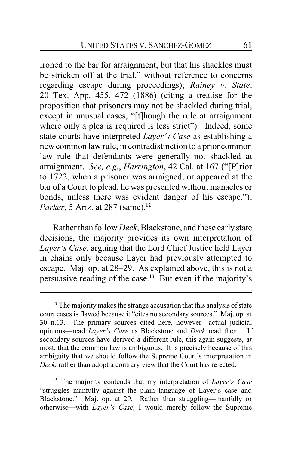ironed to the bar for arraignment, but that his shackles must be stricken off at the trial," without reference to concerns regarding escape during proceedings); *Rainey v. State*, 20 Tex. App. 455, 472 (1886) (citing a treatise for the proposition that prisoners may not be shackled during trial, except in unusual cases, "[t]hough the rule at arraignment where only a plea is required is less strict"). Indeed, some state courts have interpreted *Layer's Case* as establishing a new common law rule, in contradistinction to a prior common law rule that defendants were generally not shackled at arraignment. *See, e.g.*, *Harrington*, 42 Cal. at 167 ("[P]rior to 1722, when a prisoner was arraigned, or appeared at the bar of a Court to plead, he was presented without manacles or bonds, unless there was evident danger of his escape."); *Parker*, 5 Ariz. at 287 (same).**<sup>12</sup>**

Rather than follow *Deck*, Blackstone, and these earlystate decisions, the majority provides its own interpretation of *Layer's Case*, arguing that the Lord Chief Justice held Layer in chains only because Layer had previously attempted to escape. Maj. op. at 28–29. As explained above, this is not a persuasive reading of the case.**<sup>13</sup>** But even if the majority's

<sup>&</sup>lt;sup>12</sup> The majority makes the strange accusation that this analysis of state court cases is flawed because it "cites no secondary sources." Maj. op. at 30 n.13. The primary sources cited here, however—actual judicial opinions—read *Layer's Case* as Blackstone and *Deck* read them. If secondary sources have derived a different rule, this again suggests, at most, that the common law is ambiguous. It is precisely because of this ambiguity that we should follow the Supreme Court's interpretation in *Deck*, rather than adopt a contrary view that the Court has rejected.

**<sup>13</sup>** The majority contends that my interpretation of *Layer's Case* "struggles manfully against the plain language of Layer's case and Blackstone." Maj. op. at 29. Rather than struggling—manfully or otherwise—with *Layer's Case*, I would merely follow the Supreme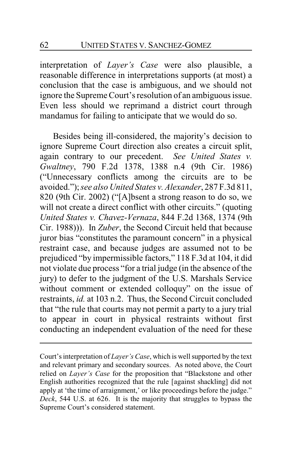interpretation of *Layer's Case* were also plausible, a reasonable difference in interpretations supports (at most) a conclusion that the case is ambiguous, and we should not ignore the Supreme Court's resolution of an ambiguous issue. Even less should we reprimand a district court through mandamus for failing to anticipate that we would do so.

Besides being ill-considered, the majority's decision to ignore Supreme Court direction also creates a circuit split, again contrary to our precedent. *See United States v. Gwaltney*, 790 F.2d 1378, 1388 n.4 (9th Cir. 1986) ("Unnecessary conflicts among the circuits are to be avoided."); *see also United States v. Alexander*, 287 F.3d 811, 820 (9th Cir. 2002) ("[A]bsent a strong reason to do so, we will not create a direct conflict with other circuits." (quoting *United States v. Chavez-Vernaza*, 844 F.2d 1368, 1374 (9th Cir. 1988))). In *Zuber*, the Second Circuit held that because juror bias "constitutes the paramount concern" in a physical restraint case, and because judges are assumed not to be prejudiced "by impermissible factors," 118 F.3d at 104, it did not violate due process "for a trial judge (in the absence of the jury) to defer to the judgment of the U.S. Marshals Service without comment or extended colloquy" on the issue of restraints, *id.* at 103 n.2. Thus, the Second Circuit concluded that "the rule that courts may not permit a party to a jury trial to appear in court in physical restraints without first conducting an independent evaluation of the need for these

Court's interpretation of *Layer's Case*, which is well supported by the text and relevant primary and secondary sources. As noted above, the Court relied on *Layer's Case* for the proposition that "Blackstone and other English authorities recognized that the rule [against shackling] did not apply at 'the time of arraignment,' or like proceedings before the judge." *Deck*, 544 U.S. at 626. It is the majority that struggles to bypass the Supreme Court's considered statement.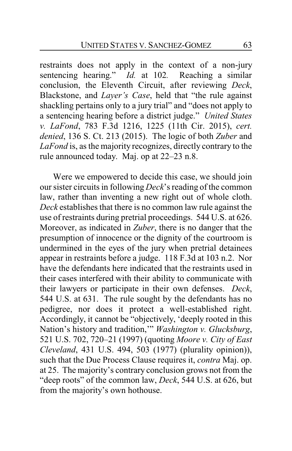restraints does not apply in the context of a non-jury sentencing hearing." *Id.* at 102*.* Reaching a similar conclusion, the Eleventh Circuit, after reviewing *Deck*, Blackstone, and *Layer's Case*, held that "the rule against shackling pertains only to a jury trial" and "does not apply to a sentencing hearing before a district judge." *United States v. LaFond*, 783 F.3d 1216, 1225 (11th Cir. 2015), *cert. denied*, 136 S. Ct. 213 (2015). The logic of both *Zuber* and *LaFond* is, as the majority recognizes, directly contrary to the rule announced today. Maj. op at 22–23 n.8.

Were we empowered to decide this case, we should join our sister circuits in following *Deck*'s reading of the common law, rather than inventing a new right out of whole cloth. *Deck* establishes that there is no common law rule against the use of restraints during pretrial proceedings. 544 U.S. at 626. Moreover, as indicated in *Zuber*, there is no danger that the presumption of innocence or the dignity of the courtroom is undermined in the eyes of the jury when pretrial detainees appear in restraints before a judge. 118 F.3d at 103 n.2. Nor have the defendants here indicated that the restraints used in their cases interfered with their ability to communicate with their lawyers or participate in their own defenses. *Deck*, 544 U.S. at 631. The rule sought by the defendants has no pedigree, nor does it protect a well-established right. Accordingly, it cannot be "objectively, 'deeply rooted in this Nation's history and tradition,'" *Washington v. Glucksburg*, 521 U.S. 702, 720–21 (1997) (quoting *Moore v. City of East Cleveland*, 431 U.S. 494, 503 (1977) (plurality opinion)), such that the Due Process Clause requires it, *contra* Maj. op. at 25. The majority's contrary conclusion grows not from the "deep roots" of the common law, *Deck*, 544 U.S. at 626, but from the majority's own hothouse.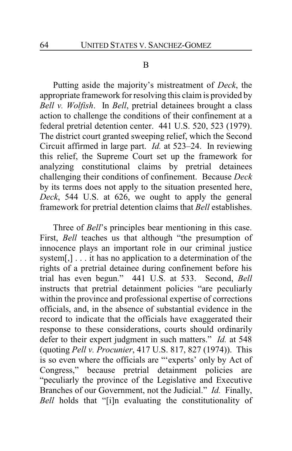#### B

Putting aside the majority's mistreatment of *Deck*, the appropriate framework for resolving this claim is provided by *Bell v. Wolfish*. In *Bell*, pretrial detainees brought a class action to challenge the conditions of their confinement at a federal pretrial detention center. 441 U.S. 520, 523 (1979). The district court granted sweeping relief, which the Second Circuit affirmed in large part. *Id.* at 523–24. In reviewing this relief, the Supreme Court set up the framework for analyzing constitutional claims by pretrial detainees challenging their conditions of confinement. Because *Deck* by its terms does not apply to the situation presented here, *Deck*, 544 U.S. at 626, we ought to apply the general framework for pretrial detention claims that *Bell* establishes.

Three of *Bell*'s principles bear mentioning in this case. First, *Bell* teaches us that although "the presumption of innocence plays an important role in our criminal justice system[,]... it has no application to a determination of the rights of a pretrial detainee during confinement before his trial has even begun." 441 U.S. at 533. Second, *Bell* instructs that pretrial detainment policies "are peculiarly within the province and professional expertise of corrections officials, and, in the absence of substantial evidence in the record to indicate that the officials have exaggerated their response to these considerations, courts should ordinarily defer to their expert judgment in such matters." *Id.* at 548 (quoting *Pell v. Procunier*, 417 U.S. 817, 827 (1974)). This is so even where the officials are "'experts' only by Act of Congress," because pretrial detainment policies are "peculiarly the province of the Legislative and Executive Branches of our Government, not the Judicial." *Id.* Finally, *Bell* holds that "[i]n evaluating the constitutionality of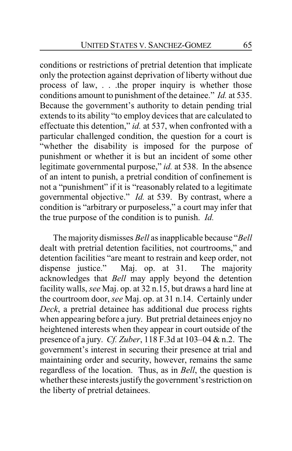conditions or restrictions of pretrial detention that implicate only the protection against deprivation of liberty without due process of law, . . .the proper inquiry is whether those conditions amount to punishment of the detainee." *Id.* at 535. Because the government's authority to detain pending trial extends to its ability "to employ devices that are calculated to effectuate this detention," *id.* at 537, when confronted with a particular challenged condition, the question for a court is "whether the disability is imposed for the purpose of punishment or whether it is but an incident of some other legitimate governmental purpose," *id.* at 538. In the absence of an intent to punish, a pretrial condition of confinement is not a "punishment" if it is "reasonably related to a legitimate governmental objective." *Id.* at 539. By contrast, where a condition is "arbitrary or purposeless," a court may infer that the true purpose of the condition is to punish. *Id.*

The majority dismisses *Bell* as inapplicable because "*Bell* dealt with pretrial detention facilities, not courtrooms," and detention facilities "are meant to restrain and keep order, not dispense justice." Maj. op. at 31. The majority acknowledges that *Bell* may apply beyond the detention facility walls, *see* Maj. op. at 32 n.15, but draws a hard line at the courtroom door, *see* Maj. op. at 31 n.14. Certainly under *Deck*, a pretrial detainee has additional due process rights when appearing before a jury. But pretrial detainees enjoy no heightened interests when they appear in court outside of the presence of a jury. *Cf. Zuber*, 118 F.3d at 103–04 & n.2. The government's interest in securing their presence at trial and maintaining order and security, however, remains the same regardless of the location. Thus, as in *Bell*, the question is whether these interests justify the government's restriction on the liberty of pretrial detainees.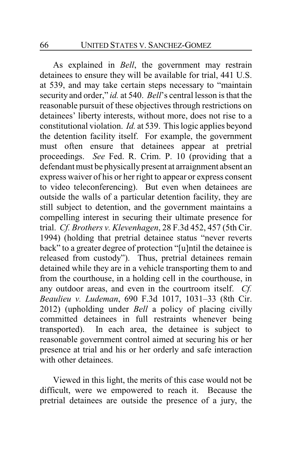As explained in *Bell*, the government may restrain detainees to ensure they will be available for trial, 441 U.S. at 539, and may take certain steps necessary to "maintain security and order," *id.* at 540. *Bell*'s central lesson is that the reasonable pursuit of these objectives through restrictions on detainees' liberty interests, without more, does not rise to a constitutional violation. *Id.* at 539. This logic applies beyond the detention facility itself. For example, the government must often ensure that detainees appear at pretrial proceedings. *See* Fed. R. Crim. P. 10 (providing that a defendant must be physically present at arraignment absent an express waiver of his or her right to appear or express consent to video teleconferencing). But even when detainees are outside the walls of a particular detention facility, they are still subject to detention, and the government maintains a compelling interest in securing their ultimate presence for trial. *Cf. Brothers v. Klevenhagen*, 28 F.3d 452, 457 (5th Cir. 1994) (holding that pretrial detainee status "never reverts back" to a greater degree of protection "[u]ntil the detainee is released from custody"). Thus, pretrial detainees remain detained while they are in a vehicle transporting them to and from the courthouse, in a holding cell in the courthouse, in any outdoor areas, and even in the courtroom itself. *Cf. Beaulieu v. Ludeman*, 690 F.3d 1017, 1031–33 (8th Cir. 2012) (upholding under *Bell* a policy of placing civilly committed detainees in full restraints whenever being transported). In each area, the detainee is subject to reasonable government control aimed at securing his or her presence at trial and his or her orderly and safe interaction with other detainees.

Viewed in this light, the merits of this case would not be difficult, were we empowered to reach it. Because the pretrial detainees are outside the presence of a jury, the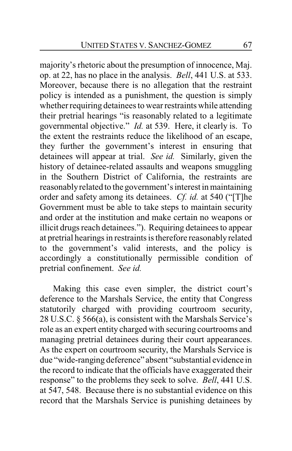majority's rhetoric about the presumption of innocence, Maj. op. at 22, has no place in the analysis. *Bell*, 441 U.S. at 533. Moreover, because there is no allegation that the restraint policy is intended as a punishment, the question is simply whether requiring detainees to wear restraints while attending their pretrial hearings "is reasonably related to a legitimate governmental objective." *Id.* at 539. Here, it clearly is. To the extent the restraints reduce the likelihood of an escape, they further the government's interest in ensuring that detainees will appear at trial. *See id.* Similarly, given the history of detainee-related assaults and weapons smuggling in the Southern District of California, the restraints are reasonablyrelated to the government's interest in maintaining order and safety among its detainees. *Cf. id.* at 540 ("[T]he Government must be able to take steps to maintain security and order at the institution and make certain no weapons or illicit drugs reach detainees."). Requiring detainees to appear at pretrial hearings in restraints is therefore reasonably related to the government's valid interests, and the policy is accordingly a constitutionally permissible condition of pretrial confinement. *See id.*

Making this case even simpler, the district court's deference to the Marshals Service, the entity that Congress statutorily charged with providing courtroom security, 28 U.S.C. § 566(a), is consistent with the Marshals Service's role as an expert entity charged with securing courtrooms and managing pretrial detainees during their court appearances. As the expert on courtroom security, the Marshals Service is due "wide-ranging deference" absent "substantial evidence in the record to indicate that the officials have exaggerated their response" to the problems they seek to solve. *Bell*, 441 U.S. at 547, 548. Because there is no substantial evidence on this record that the Marshals Service is punishing detainees by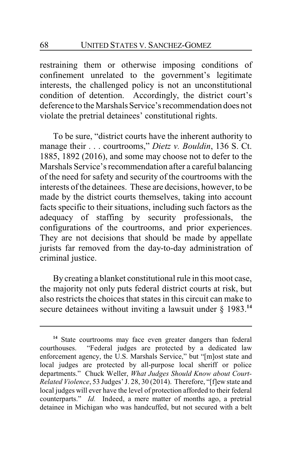restraining them or otherwise imposing conditions of confinement unrelated to the government's legitimate interests, the challenged policy is not an unconstitutional condition of detention. Accordingly, the district court's deference to the Marshals Service's recommendation does not violate the pretrial detainees' constitutional rights.

To be sure, "district courts have the inherent authority to manage their . . . courtrooms," *Dietz v. Bouldin*, 136 S. Ct. 1885, 1892 (2016), and some may choose not to defer to the Marshals Service's recommendation after a careful balancing of the need for safety and security of the courtrooms with the interests of the detainees. These are decisions, however, to be made by the district courts themselves, taking into account facts specific to their situations, including such factors as the adequacy of staffing by security professionals, the configurations of the courtrooms, and prior experiences. They are not decisions that should be made by appellate jurists far removed from the day-to-day administration of criminal justice.

By creating a blanket constitutional rule in this moot case, the majority not only puts federal district courts at risk, but also restricts the choices that states in this circuit can make to secure detainees without inviting a lawsuit under § 1983.**<sup>14</sup>**

**<sup>14</sup>** State courtrooms may face even greater dangers than federal courthouses. "Federal judges are protected by a dedicated law enforcement agency, the U.S. Marshals Service," but "[m]ost state and local judges are protected by all-purpose local sheriff or police departments." Chuck Weller, *What Judges Should Know about Court-Related Violence*, 53 Judges'J. 28, 30 (2014). Therefore, "[f]ew state and local judges will ever have the level of protection afforded to their federal counterparts." *Id.* Indeed, a mere matter of months ago, a pretrial detainee in Michigan who was handcuffed, but not secured with a belt